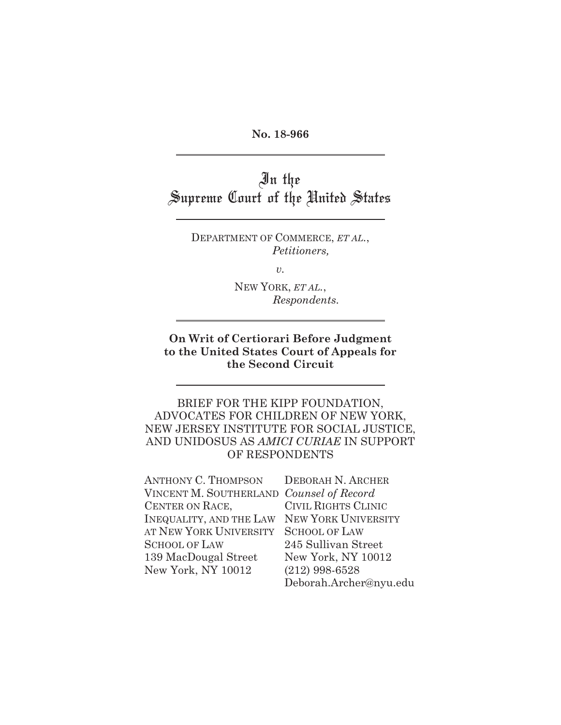**No. 18-966** 

In the Supreme Court of the United States

> DEPARTMENT OF COMMERCE, *ET AL.*, *Petitioners,*

> > *v.*

NEW YORK, *ET AL.*, *Respondents.*

### **On Writ of Certiorari Before Judgment to the United States Court of Appeals for the Second Circuit**

## BRIEF FOR THE KIPP FOUNDATION, ADVOCATES FOR CHILDREN OF NEW YORK, NEW JERSEY INSTITUTE FOR SOCIAL JUSTICE, AND UNIDOSUS AS *AMICI CURIAE* IN SUPPORT OF RESPONDENTS

| <b>ANTHONY C. THOMPSON</b>               | DEBORAH N. ARCHER          |
|------------------------------------------|----------------------------|
| VINCENT M. SOUTHERLAND Counsel of Record |                            |
| CENTER ON RACE,                          | <b>CIVIL RIGHTS CLINIC</b> |
| <b>INEQUALITY, AND THE LAW</b>           | NEW YORK UNIVERSITY        |
| AT NEW YORK UNIVERSITY                   | <b>SCHOOL OF LAW</b>       |
| <b>SCHOOL OF LAW</b>                     | 245 Sullivan Street        |
| 139 MacDougal Street                     | New York, NY 10012         |
| New York, NY 10012                       | $(212)$ 998-6528           |
|                                          | Deborah.Archer@nyu.edu     |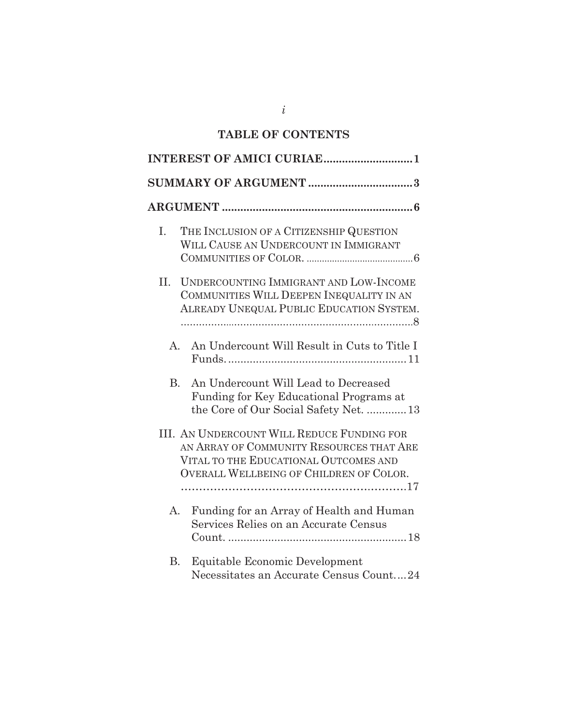# **TABLE OF CONTENTS**

|           | <b>INTEREST OF AMICI CURIAE1</b>                                                                                                                                                  |
|-----------|-----------------------------------------------------------------------------------------------------------------------------------------------------------------------------------|
|           |                                                                                                                                                                                   |
|           |                                                                                                                                                                                   |
| I.        | THE INCLUSION OF A CITIZENSHIP QUESTION<br>WILL CAUSE AN UNDERCOUNT IN IMMIGRANT                                                                                                  |
| II.       | UNDERCOUNTING IMMIGRANT AND LOW-INCOME<br>COMMUNITIES WILL DEEPEN INEQUALITY IN AN<br>ALREADY UNEQUAL PUBLIC EDUCATION SYSTEM.                                                    |
| A.        | An Undercount Will Result in Cuts to Title I                                                                                                                                      |
| <b>B.</b> | An Undercount Will Lead to Decreased<br>Funding for Key Educational Programs at<br>the Core of Our Social Safety Net.  13                                                         |
|           | <b>III. AN UNDERCOUNT WILL REDUCE FUNDING FOR</b><br>AN ARRAY OF COMMUNITY RESOURCES THAT ARE<br>VITAL TO THE EDUCATIONAL OUTCOMES AND<br>OVERALL WELLBEING OF CHILDREN OF COLOR. |
| A.        | Funding for an Array of Health and Human<br>Services Relies on an Accurate Census                                                                                                 |
| В.        | Equitable Economic Development<br>Necessitates an Accurate Census Count24                                                                                                         |

*i*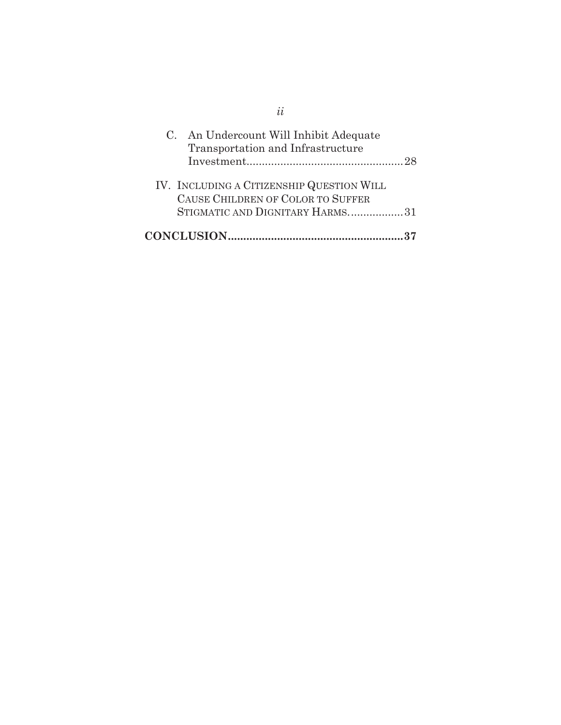| C. An Undercount Will Inhibit Adequate<br>Transportation and Infrastructure                                       |
|-------------------------------------------------------------------------------------------------------------------|
| IV. INCLUDING A CITIZENSHIP QUESTION WILL<br>CAUSE CHILDREN OF COLOR TO SUFFER<br>STIGMATIC AND DIGNITARY HARMS31 |
|                                                                                                                   |

*ii*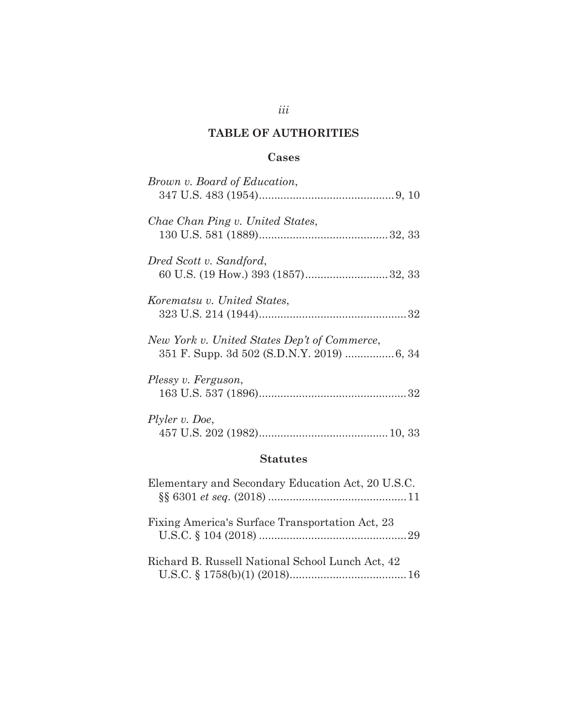# **TABLE OF AUTHORITIES**

*iii* 

## **Cases**

| Brown v. Board of Education,                      |
|---------------------------------------------------|
| Chae Chan Ping v. United States,                  |
| Dred Scott v. Sandford,                           |
| Korematsu v. United States,                       |
| New York v. United States Dep't of Commerce,      |
| Plessy v. Ferguson,                               |
| Plyler v. Doe,                                    |
| <b>Statutes</b>                                   |
| Elementary and Secondary Education Act, 20 U.S.C. |
| Fixing America's Surface Transportation Act, 23   |

| Richard B. Russell National School Lunch Act, 42 |  |
|--------------------------------------------------|--|
|                                                  |  |

U.S.C. § 104 (2018) ................................................ 29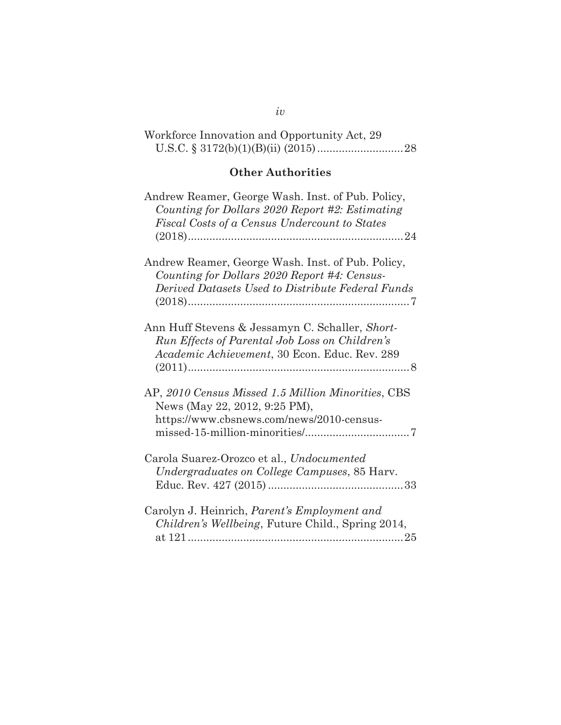| Workforce Innovation and Opportunity Act, 29 |  |  |
|----------------------------------------------|--|--|
|                                              |  |  |

# **Other Authorities**

| Andrew Reamer, George Wash. Inst. of Pub. Policy,<br>Counting for Dollars 2020 Report #2: Estimating<br>Fiscal Costs of a Census Undercount to States  |
|--------------------------------------------------------------------------------------------------------------------------------------------------------|
| Andrew Reamer, George Wash. Inst. of Pub. Policy,<br>Counting for Dollars 2020 Report #4: Census-<br>Derived Datasets Used to Distribute Federal Funds |
| Ann Huff Stevens & Jessamyn C. Schaller, Short-<br>Run Effects of Parental Job Loss on Children's<br>Academic Achievement, 30 Econ. Educ. Rev. 289     |
| AP, 2010 Census Missed 1.5 Million Minorities, CBS<br>News (May 22, 2012, 9:25 PM),<br>https://www.cbsnews.com/news/2010-census-                       |
| Carola Suarez-Orozco et al., Undocumented<br>Undergraduates on College Campuses, 85 Harv.                                                              |
| Carolyn J. Heinrich, Parent's Employment and<br>Children's Wellbeing, Future Child., Spring 2014,                                                      |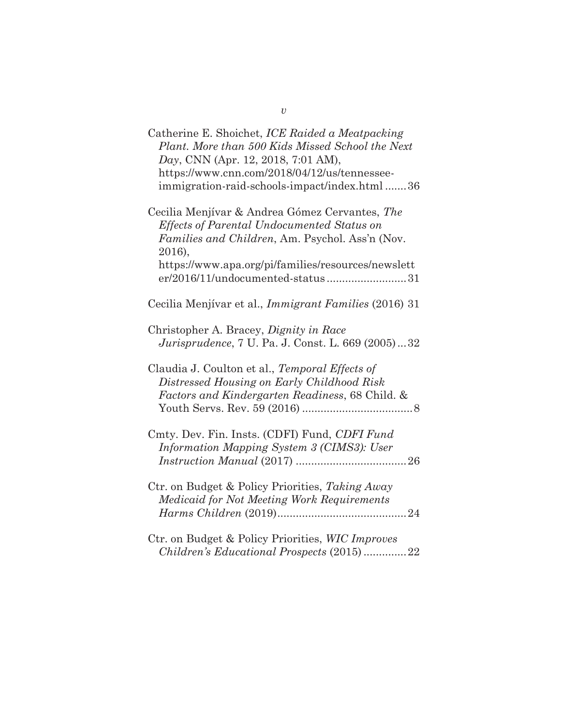| Catherine E. Shoichet, ICE Raided a Meatpacking<br>Plant. More than 500 Kids Missed School the Next<br>Day, CNN (Apr. 12, 2018, 7:01 AM),<br>https://www.cnn.com/2018/04/12/us/tennessee-<br>immigration-raid-schools-impact/index.html 36          |
|-----------------------------------------------------------------------------------------------------------------------------------------------------------------------------------------------------------------------------------------------------|
| Cecilia Menjívar & Andrea Gómez Cervantes, The<br>Effects of Parental Undocumented Status on<br>Families and Children, Am. Psychol. Ass'n (Nov.<br>2016),<br>https://www.apa.org/pi/families/resources/newslett<br>er/2016/11/undocumented-status31 |
| Cecilia Menjívar et al., Immigrant Families (2016) 31                                                                                                                                                                                               |
| Christopher A. Bracey, <i>Dignity in Race</i><br><i>Jurisprudence</i> , 7 U. Pa. J. Const. L. 669 (2005)32                                                                                                                                          |
| Claudia J. Coulton et al., Temporal Effects of<br>Distressed Housing on Early Childhood Risk<br>Factors and Kindergarten Readiness, 68 Child. &                                                                                                     |
| Cmty. Dev. Fin. Insts. (CDFI) Fund, CDFI Fund<br>Information Mapping System 3 (CIMS3): User                                                                                                                                                         |
| Ctr. on Budget & Policy Priorities, Taking Away<br>Medicaid for Not Meeting Work Requirements                                                                                                                                                       |
| Ctr. on Budget & Policy Priorities, WIC Improves<br>Children's Educational Prospects (2015)22                                                                                                                                                       |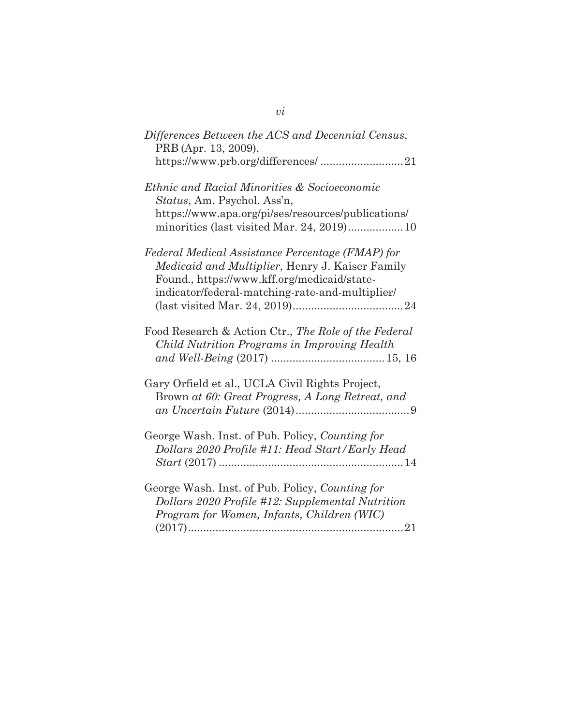| Differences Between the ACS and Decennial Census,<br>PRB (Apr. 13, 2009),                                                                                                                             |
|-------------------------------------------------------------------------------------------------------------------------------------------------------------------------------------------------------|
|                                                                                                                                                                                                       |
| Ethnic and Racial Minorities & Socioeconomic<br>Status, Am. Psychol. Ass'n,<br>https://www.apa.org/pi/ses/resources/publications/<br>minorities (last visited Mar. 24, 2019)10                        |
| Federal Medical Assistance Percentage (FMAP) for<br>Medicaid and Multiplier, Henry J. Kaiser Family<br>Found., https://www.kff.org/medicaid/state-<br>indicator/federal-matching-rate-and-multiplier/ |
| Food Research & Action Ctr., The Role of the Federal<br>Child Nutrition Programs in Improving Health                                                                                                  |
| Gary Orfield et al., UCLA Civil Rights Project,<br>Brown at 60: Great Progress, A Long Retreat, and                                                                                                   |
| George Wash. Inst. of Pub. Policy, Counting for<br>Dollars 2020 Profile #11: Head Start/Early Head                                                                                                    |
| George Wash. Inst. of Pub. Policy, Counting for<br>Dollars 2020 Profile #12: Supplemental Nutrition<br>Program for Women, Infants, Children (WIC)                                                     |

 $vi$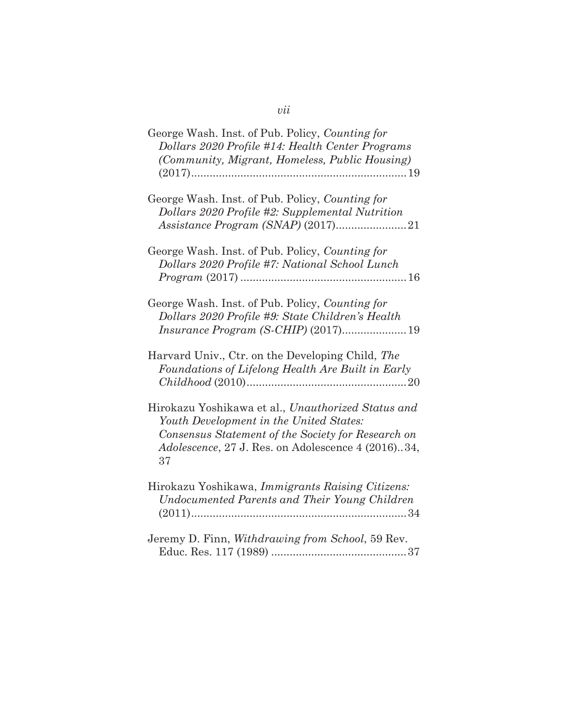| George Wash. Inst. of Pub. Policy, Counting for<br>Dollars 2020 Profile #14: Health Center Programs<br>(Community, Migrant, Homeless, Public Housing)                                                                   |
|-------------------------------------------------------------------------------------------------------------------------------------------------------------------------------------------------------------------------|
| George Wash. Inst. of Pub. Policy, Counting for<br>Dollars 2020 Profile #2: Supplemental Nutrition                                                                                                                      |
| George Wash. Inst. of Pub. Policy, Counting for<br>Dollars 2020 Profile #7: National School Lunch                                                                                                                       |
| George Wash. Inst. of Pub. Policy, Counting for<br>Dollars 2020 Profile #9: State Children's Health                                                                                                                     |
| Harvard Univ., Ctr. on the Developing Child, The<br>Foundations of Lifelong Health Are Built in Early                                                                                                                   |
| Hirokazu Yoshikawa et al., Unauthorized Status and<br>Youth Development in the United States:<br>Consensus Statement of the Society for Research on<br><i>Adolescence</i> , 27 J. Res. on Adolescence 4 (2016)34,<br>37 |
| Hirokazu Yoshikawa, Immigrants Raising Citizens:<br>Undocumented Parents and Their Young Children                                                                                                                       |
| Jeremy D. Finn, Withdrawing from School, 59 Rev.                                                                                                                                                                        |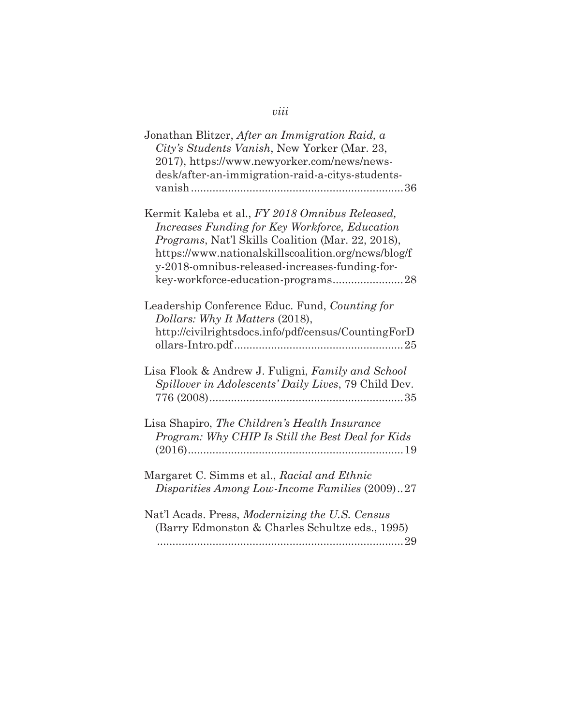| Jonathan Blitzer, After an Immigration Raid, a<br>City's Students Vanish, New Yorker (Mar. 23,<br>2017), https://www.newyorker.com/news/news-<br>desk/after-an-immigration-raid-a-citys-students-                                                                      |
|------------------------------------------------------------------------------------------------------------------------------------------------------------------------------------------------------------------------------------------------------------------------|
| Kermit Kaleba et al., FY 2018 Omnibus Released,<br>Increases Funding for Key Workforce, Education<br><i>Programs, Nat'l Skills Coalition (Mar. 22, 2018),</i><br>https://www.nationalskillscoalition.org/news/blog/f<br>y-2018-omnibus-released-increases-funding-for- |
| Leadership Conference Educ. Fund, Counting for<br>Dollars: Why It Matters (2018),<br>http://civilrightsdocs.info/pdf/census/CountingForD                                                                                                                               |
| Lisa Flook & Andrew J. Fuligni, Family and School<br>Spillover in Adolescents' Daily Lives, 79 Child Dev.                                                                                                                                                              |
| Lisa Shapiro, The Children's Health Insurance<br>Program: Why CHIP Is Still the Best Deal for Kids                                                                                                                                                                     |
| Margaret C. Simms et al., Racial and Ethnic<br>Disparities Among Low-Income Families (2009)27                                                                                                                                                                          |
| Nat'l Acads. Press, Modernizing the U.S. Census<br>(Barry Edmonston & Charles Schultze eds., 1995)                                                                                                                                                                     |

# *viii*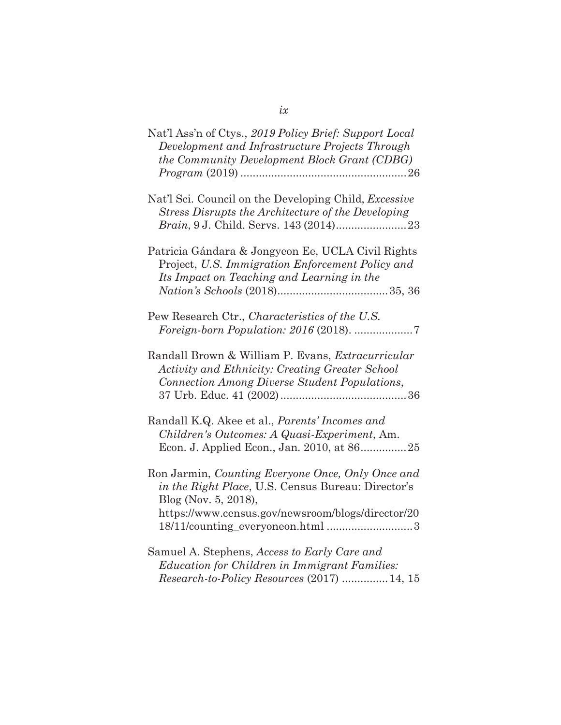| Nat'l Ass'n of Ctys., 2019 Policy Brief: Support Local<br>Development and Infrastructure Projects Through<br>the Community Development Block Grant (CDBG)                                                                |
|--------------------------------------------------------------------------------------------------------------------------------------------------------------------------------------------------------------------------|
| Nat'l Sci. Council on the Developing Child, <i>Excessive</i><br>Stress Disrupts the Architecture of the Developing                                                                                                       |
| Patricia Gándara & Jongyeon Ee, UCLA Civil Rights<br>Project, U.S. Immigration Enforcement Policy and<br>Its Impact on Teaching and Learning in the                                                                      |
| Pew Research Ctr., Characteristics of the U.S.<br><i>Foreign-born Population: 2016 (2018). </i> 7                                                                                                                        |
| Randall Brown & William P. Evans, Extracurricular<br>Activity and Ethnicity: Creating Greater School<br>Connection Among Diverse Student Populations,                                                                    |
| Randall K.Q. Akee et al., <i>Parents' Incomes and</i><br>Children's Outcomes: A Quasi-Experiment, Am.<br>Econ. J. Applied Econ., Jan. 2010, at 8625                                                                      |
| Ron Jarmin, Counting Everyone Once, Only Once and<br>in the Right Place, U.S. Census Bureau: Director's<br>Blog (Nov. 5, 2018),<br>https://www.census.gov/newsroom/blogs/director/20<br>18/11/counting_everyoneon.html 3 |
| Samuel A. Stephens, Access to Early Care and<br>Education for Children in Immigrant Families:<br>Research-to-Policy Resources (2017)  14, 15                                                                             |

*ix*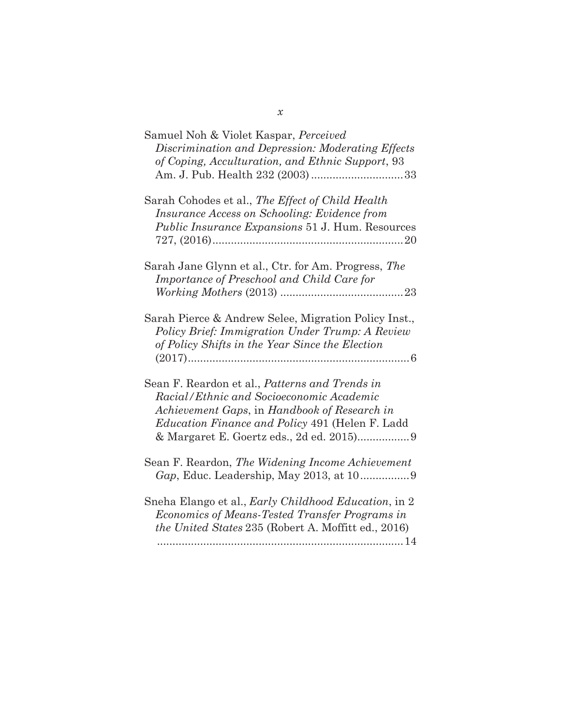| Samuel Noh & Violet Kaspar, Perceived<br>Discrimination and Depression: Moderating Effects<br>of Coping, Acculturation, and Ethnic Support, 93                                                       |
|------------------------------------------------------------------------------------------------------------------------------------------------------------------------------------------------------|
| Sarah Cohodes et al., The Effect of Child Health<br>Insurance Access on Schooling: Evidence from<br><i>Public Insurance Expansions</i> 51 J. Hum. Resources                                          |
| Sarah Jane Glynn et al., Ctr. for Am. Progress, The<br>Importance of Preschool and Child Care for                                                                                                    |
| Sarah Pierce & Andrew Selee, Migration Policy Inst.,<br>Policy Brief: Immigration Under Trump: A Review<br>of Policy Shifts in the Year Since the Election                                           |
| Sean F. Reardon et al., Patterns and Trends in<br>Racial/Ethnic and Socioeconomic Academic<br>Achievement Gaps, in Handbook of Research in<br><i>Education Finance and Policy 491 (Helen F. Ladd</i> |
| Sean F. Reardon, The Widening Income Achievement                                                                                                                                                     |
| Sneha Elango et al., Early Childhood Education, in 2<br>Economics of Means-Tested Transfer Programs in<br>the United States 235 (Robert A. Moffitt ed., 2016)                                        |

*x*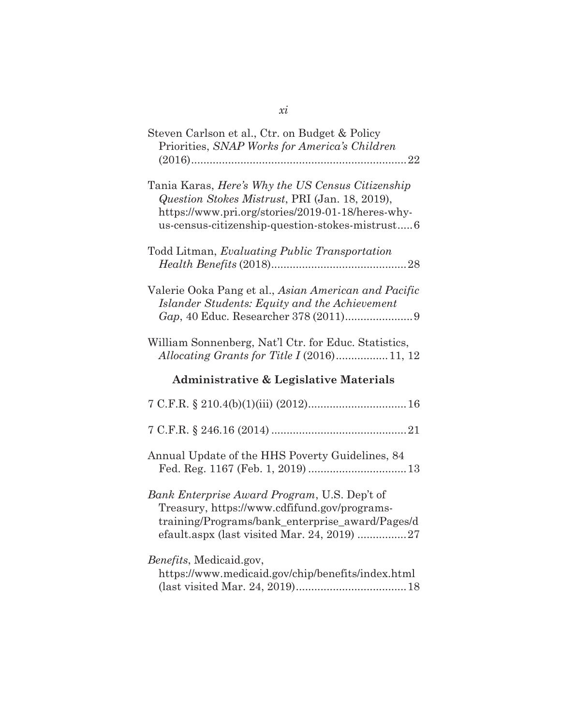| Steven Carlson et al., Ctr. on Budget & Policy<br>Priorities, SNAP Works for America's Children<br>$\dots 22$                                                                                               |
|-------------------------------------------------------------------------------------------------------------------------------------------------------------------------------------------------------------|
| Tania Karas, Here's Why the US Census Citizenship<br>Question Stokes Mistrust, PRI (Jan. 18, 2019),<br>https://www.pri.org/stories/2019-01-18/heres-why-<br>us-census-citizenship-question-stokes-mistrust6 |
| Todd Litman, Evaluating Public Transportation                                                                                                                                                               |
| Valerie Ooka Pang et al., Asian American and Pacific<br>Islander Students: Equity and the Achievement                                                                                                       |
| William Sonnenberg, Nat'l Ctr. for Educ. Statistics,                                                                                                                                                        |
|                                                                                                                                                                                                             |
| <b>Administrative &amp; Legislative Materials</b>                                                                                                                                                           |
|                                                                                                                                                                                                             |
|                                                                                                                                                                                                             |
| Annual Update of the HHS Poverty Guidelines, 84                                                                                                                                                             |
| Bank Enterprise Award Program, U.S. Dep't of<br>Treasury, https://www.cdfifund.gov/programs-<br>training/Programs/bank_enterprise_award/Pages/d                                                             |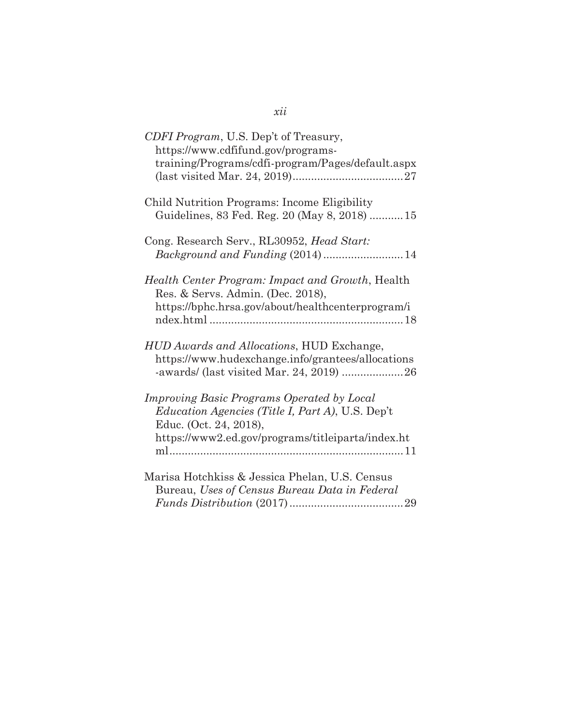| CDFI Program, U.S. Dep't of Treasury,<br>https://www.cdfifund.gov/programs-<br>training/Programs/cdfi-program/Pages/default.aspx                                                     |
|--------------------------------------------------------------------------------------------------------------------------------------------------------------------------------------|
| Child Nutrition Programs: Income Eligibility<br>Guidelines, 83 Fed. Reg. 20 (May 8, 2018) 15                                                                                         |
| Cong. Research Serv., RL30952, Head Start:                                                                                                                                           |
| Health Center Program: Impact and Growth, Health<br>Res. & Servs. Admin. (Dec. 2018),<br>https://bphc.hrsa.gov/about/healthcenterprogram/i                                           |
| HUD Awards and Allocations, HUD Exchange,<br>https://www.hudexchange.info/grantees/allocations                                                                                       |
| Improving Basic Programs Operated by Local<br><i>Education Agencies (Title I, Part A), U.S. Dep't</i><br>Educ. (Oct. 24, 2018),<br>https://www2.ed.gov/programs/titleiparta/index.ht |
| Marisa Hotchkiss & Jessica Phelan, U.S. Census<br>Bureau, Uses of Census Bureau Data in Federal                                                                                      |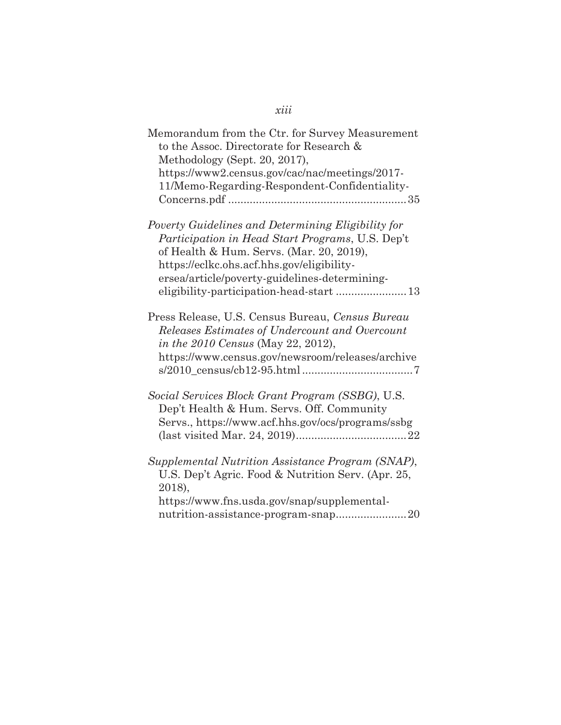| Memorandum from the Ctr. for Survey Measurement<br>to the Assoc. Directorate for Research &<br>Methodology (Sept. 20, 2017),<br>https://www2.census.gov/cac/nac/meetings/2017-<br>11/Memo-Regarding-Respondent-Confidentiality-                   |
|---------------------------------------------------------------------------------------------------------------------------------------------------------------------------------------------------------------------------------------------------|
| Poverty Guidelines and Determining Eligibility for<br>Participation in Head Start Programs, U.S. Dep't<br>of Health & Hum. Servs. (Mar. 20, 2019),<br>https://eclkc.ohs.acf.hhs.gov/eligibility-<br>ersea/article/poverty-guidelines-determining- |
| Press Release, U.S. Census Bureau, Census Bureau<br>Releases Estimates of Undercount and Overcount<br><i>in the 2010 Census</i> (May 22, 2012),<br>https://www.census.gov/newsroom/releases/archive                                               |
| Social Services Block Grant Program (SSBG), U.S.<br>Dep't Health & Hum. Servs. Off. Community<br>Servs., https://www.acf.hhs.gov/ocs/programs/ssbg                                                                                                |
| Supplemental Nutrition Assistance Program (SNAP),<br>U.S. Dep't Agric. Food & Nutrition Serv. (Apr. 25,<br>2018),<br>https://www.fns.usda.gov/snap/supplemental-<br>nutrition-assistance-program-snap20                                           |

# *xiii*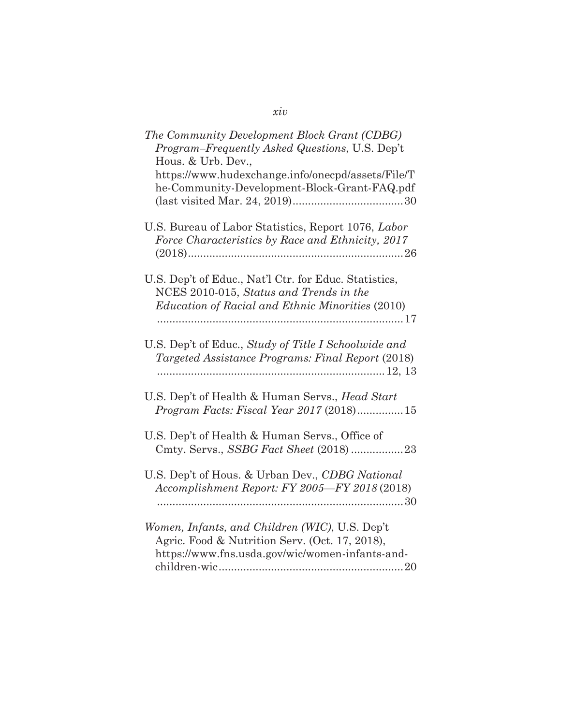| The Community Development Block Grant (CDBG)<br>Program-Frequently Asked Questions, U.S. Dep't<br>Hous. & Urb. Dev.,                                        |
|-------------------------------------------------------------------------------------------------------------------------------------------------------------|
| https://www.hudexchange.info/onecpd/assets/File/T<br>he-Community-Development-Block-Grant-FAQ.pdf                                                           |
| U.S. Bureau of Labor Statistics, Report 1076, Labor<br>Force Characteristics by Race and Ethnicity, 2017                                                    |
| U.S. Dep't of Educ., Nat'l Ctr. for Educ. Statistics,<br>NCES 2010-015, Status and Trends in the<br><i>Education of Racial and Ethnic Minorities (2010)</i> |
| U.S. Dep't of Educ., Study of Title I Schoolwide and<br>Targeted Assistance Programs: Final Report (2018)                                                   |
| U.S. Dep't of Health & Human Servs., Head Start<br>Program Facts: Fiscal Year 2017 (2018)15                                                                 |
| U.S. Dep't of Health & Human Servs., Office of<br>Cmty. Servs., SSBG Fact Sheet (2018)23                                                                    |
| U.S. Dep't of Hous. & Urban Dev., CDBG National<br>Accomplishment Report: FY 2005-FY 2018 (2018)                                                            |
| Women, Infants, and Children (WIC), U.S. Dep't<br>Agric. Food & Nutrition Serv. (Oct. 17, 2018),<br>https://www.fns.usda.gov/wic/women-infants-and-         |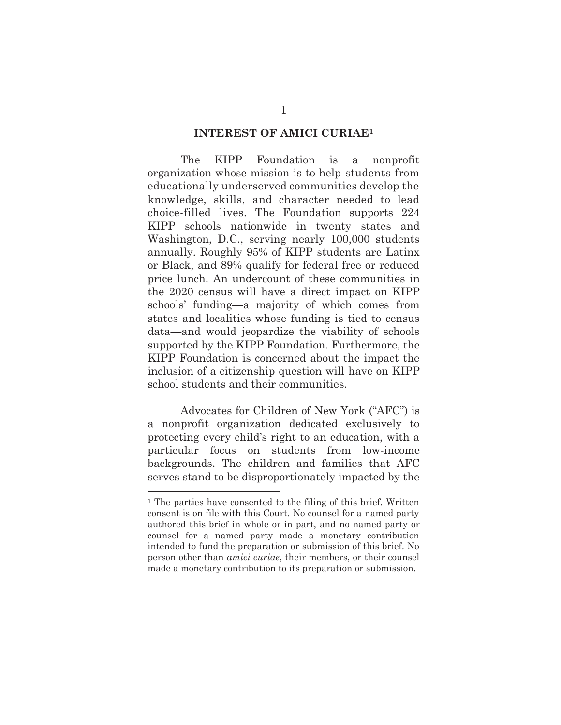#### **INTEREST OF AMICI CURIAE1**

The KIPP Foundation is a nonprofit organization whose mission is to help students from educationally underserved communities develop the knowledge, skills, and character needed to lead choice-filled lives. The Foundation supports 224 KIPP schools nationwide in twenty states and Washington, D.C., serving nearly 100,000 students annually. Roughly 95% of KIPP students are Latinx or Black, and 89% qualify for federal free or reduced price lunch. An undercount of these communities in the 2020 census will have a direct impact on KIPP schools' funding—a majority of which comes from states and localities whose funding is tied to census data—and would jeopardize the viability of schools supported by the KIPP Foundation. Furthermore, the KIPP Foundation is concerned about the impact the inclusion of a citizenship question will have on KIPP school students and their communities.

Advocates for Children of New York ("AFC") is a nonprofit organization dedicated exclusively to protecting every child's right to an education, with a particular focus on students from low-income backgrounds. The children and families that AFC serves stand to be disproportionately impacted by the

 $\overline{a}$ 

<sup>1</sup> The parties have consented to the filing of this brief. Written consent is on file with this Court. No counsel for a named party authored this brief in whole or in part, and no named party or counsel for a named party made a monetary contribution intended to fund the preparation or submission of this brief. No person other than *amici curiae*, their members, or their counsel made a monetary contribution to its preparation or submission.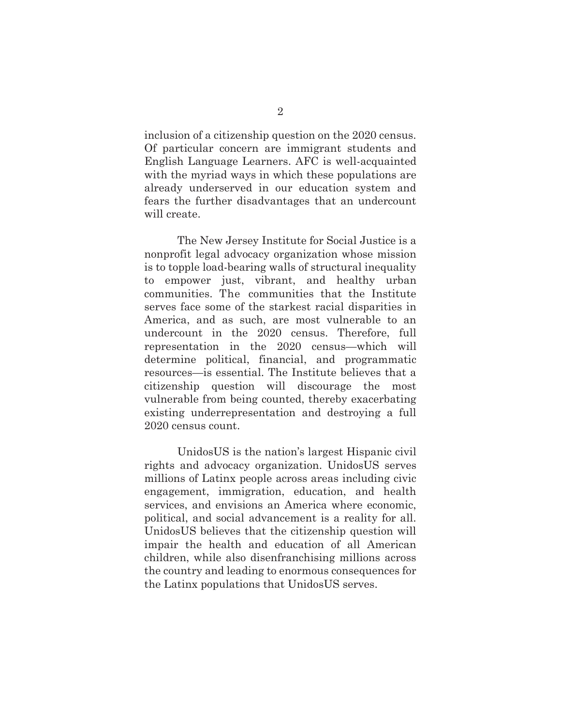inclusion of a citizenship question on the 2020 census. Of particular concern are immigrant students and English Language Learners. AFC is well-acquainted with the myriad ways in which these populations are already underserved in our education system and fears the further disadvantages that an undercount will create.

The New Jersey Institute for Social Justice is a nonprofit legal advocacy organization whose mission is to topple load-bearing walls of structural inequality to empower just, vibrant, and healthy urban communities. The communities that the Institute serves face some of the starkest racial disparities in America, and as such, are most vulnerable to an undercount in the 2020 census. Therefore, full representation in the 2020 census—which will determine political, financial, and programmatic resources—is essential. The Institute believes that a citizenship question will discourage the most vulnerable from being counted, thereby exacerbating existing underrepresentation and destroying a full 2020 census count.

UnidosUS is the nation's largest Hispanic civil rights and advocacy organization. UnidosUS serves millions of Latinx people across areas including civic engagement, immigration, education, and health services, and envisions an America where economic, political, and social advancement is a reality for all. UnidosUS believes that the citizenship question will impair the health and education of all American children, while also disenfranchising millions across the country and leading to enormous consequences for the Latinx populations that UnidosUS serves.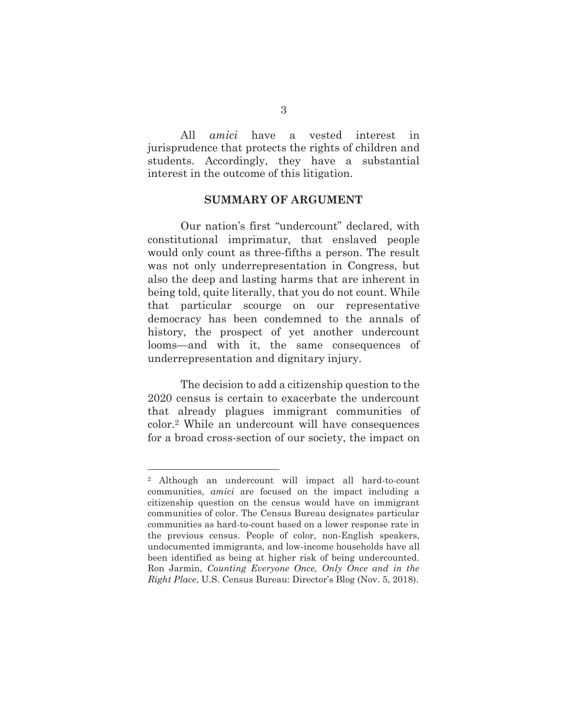All *amici* have a vested interest in jurisprudence that protects the rights of children and students. Accordingly, they have a substantial interest in the outcome of this litigation.

#### **SUMMARY OF ARGUMENT**

Our nation's first "undercount" declared, with constitutional imprimatur, that enslaved people would only count as three-fifths a person. The result was not only underrepresentation in Congress, but also the deep and lasting harms that are inherent in being told, quite literally, that you do not count. While that particular scourge on our representative democracy has been condemned to the annals of history, the prospect of yet another undercount looms—and with it, the same consequences of underrepresentation and dignitary injury.

The decision to add a citizenship question to the 2020 census is certain to exacerbate the undercount that already plagues immigrant communities of color.2 While an undercount will have consequences for a broad cross-section of our society, the impact on

 $\overline{a}$ 

<sup>2</sup> Although an undercount will impact all hard-to-count communities, *amici* are focused on the impact including a citizenship question on the census would have on immigrant communities of color. The Census Bureau designates particular communities as hard-to-count based on a lower response rate in the previous census. People of color, non-English speakers, undocumented immigrants, and low-income households have all been identified as being at higher risk of being undercounted. Ron Jarmin, *Counting Everyone Once, Only Once and in the Right Place*, U.S. Census Bureau: Director's Blog (Nov. 5, 2018).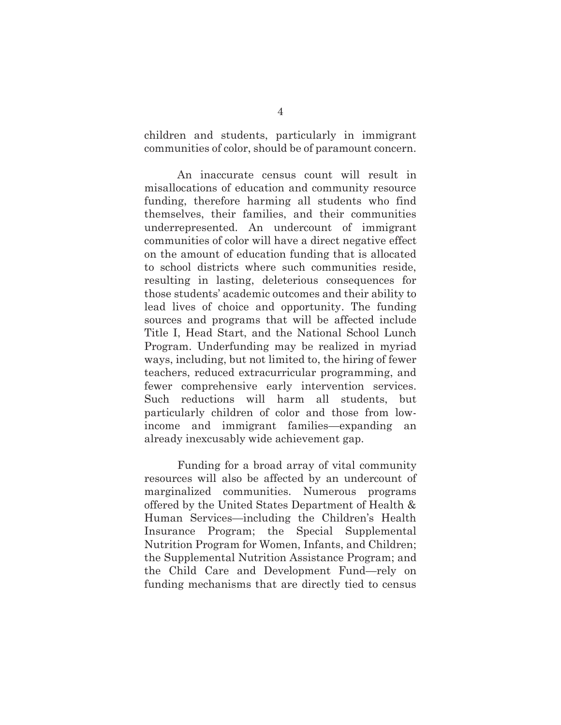children and students, particularly in immigrant communities of color, should be of paramount concern.

An inaccurate census count will result in misallocations of education and community resource funding, therefore harming all students who find themselves, their families, and their communities underrepresented. An undercount of immigrant communities of color will have a direct negative effect on the amount of education funding that is allocated to school districts where such communities reside, resulting in lasting, deleterious consequences for those students' academic outcomes and their ability to lead lives of choice and opportunity. The funding sources and programs that will be affected include Title I, Head Start, and the National School Lunch Program. Underfunding may be realized in myriad ways, including, but not limited to, the hiring of fewer teachers, reduced extracurricular programming, and fewer comprehensive early intervention services. Such reductions will harm all students, but particularly children of color and those from lowincome and immigrant families—expanding an already inexcusably wide achievement gap.

Funding for a broad array of vital community resources will also be affected by an undercount of marginalized communities. Numerous programs offered by the United States Department of Health & Human Services—including the Children's Health Insurance Program; the Special Supplemental Nutrition Program for Women, Infants, and Children; the Supplemental Nutrition Assistance Program; and the Child Care and Development Fund—rely on funding mechanisms that are directly tied to census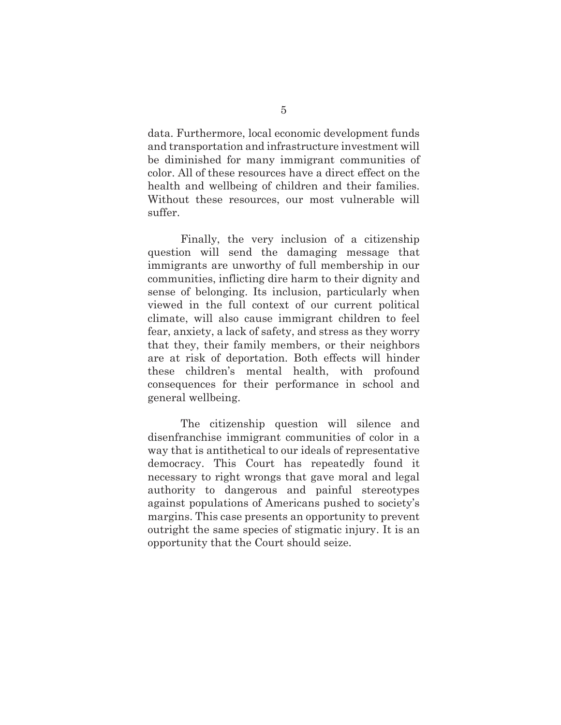data. Furthermore, local economic development funds and transportation and infrastructure investment will be diminished for many immigrant communities of color. All of these resources have a direct effect on the health and wellbeing of children and their families. Without these resources, our most vulnerable will suffer.

Finally, the very inclusion of a citizenship question will send the damaging message that immigrants are unworthy of full membership in our communities, inflicting dire harm to their dignity and sense of belonging. Its inclusion, particularly when viewed in the full context of our current political climate, will also cause immigrant children to feel fear, anxiety, a lack of safety, and stress as they worry that they, their family members, or their neighbors are at risk of deportation. Both effects will hinder these children's mental health, with profound consequences for their performance in school and general wellbeing.

The citizenship question will silence and disenfranchise immigrant communities of color in a way that is antithetical to our ideals of representative democracy. This Court has repeatedly found it necessary to right wrongs that gave moral and legal authority to dangerous and painful stereotypes against populations of Americans pushed to society's margins. This case presents an opportunity to prevent outright the same species of stigmatic injury. It is an opportunity that the Court should seize.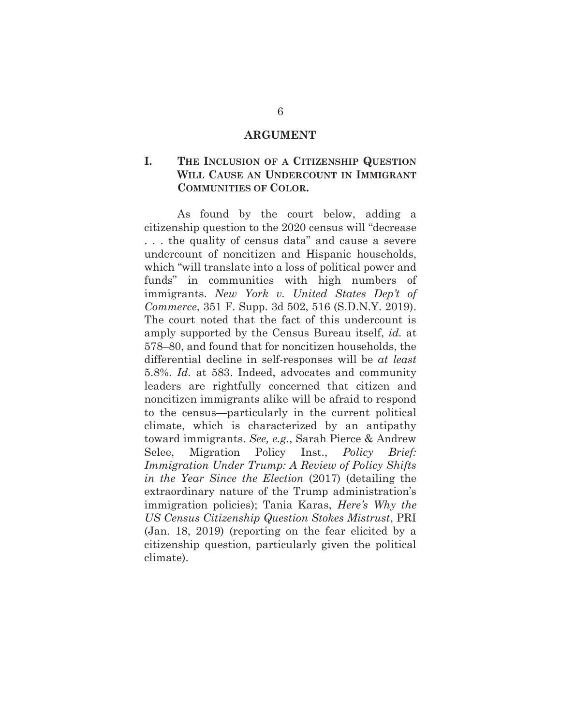#### **ARGUMENT**

### **I. THE INCLUSION OF A CITIZENSHIP QUESTION WILL CAUSE AN UNDERCOUNT IN IMMIGRANT COMMUNITIES OF COLOR.**

As found by the court below, adding a citizenship question to the 2020 census will "decrease . . . the quality of census data" and cause a severe undercount of noncitizen and Hispanic households, which "will translate into a loss of political power and funds" in communities with high numbers of immigrants. *New York v. United States Dep't of Commerce*, 351 F. Supp. 3d 502, 516 (S.D.N.Y. 2019). The court noted that the fact of this undercount is amply supported by the Census Bureau itself, *id.* at 578–80, and found that for noncitizen households, the differential decline in self-responses will be *at least* 5.8%. *Id.* at 583. Indeed, advocates and community leaders are rightfully concerned that citizen and noncitizen immigrants alike will be afraid to respond to the census—particularly in the current political climate, which is characterized by an antipathy toward immigrants. *See, e.g.*, Sarah Pierce & Andrew Selee, Migration Policy Inst., *Policy Brief: Immigration Under Trump: A Review of Policy Shifts in the Year Since the Election* (2017) (detailing the extraordinary nature of the Trump administration's immigration policies); Tania Karas, *Here's Why the US Census Citizenship Question Stokes Mistrust*, PRI (Jan. 18, 2019) (reporting on the fear elicited by a citizenship question, particularly given the political climate).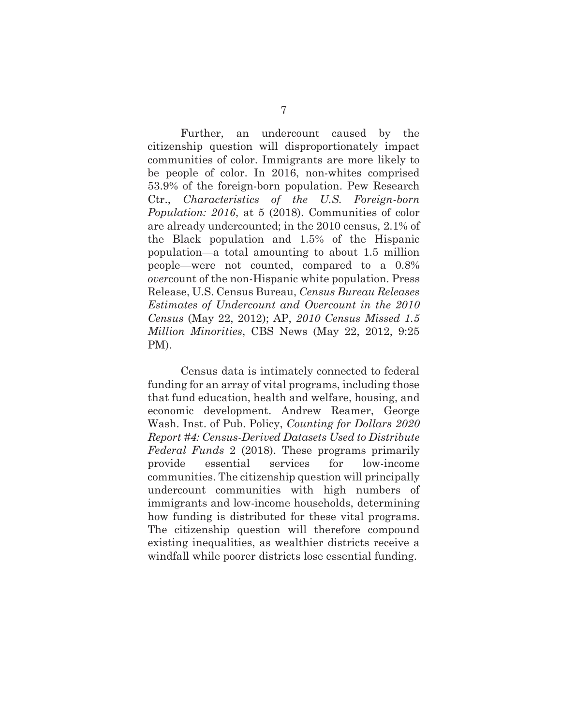Further, an undercount caused by the citizenship question will disproportionately impact communities of color. Immigrants are more likely to be people of color. In 2016, non-whites comprised 53.9% of the foreign-born population. Pew Research Ctr., *Characteristics of the U.S. Foreign-born Population: 2016*, at 5 (2018). Communities of color are already undercounted; in the 2010 census, 2.1% of the Black population and 1.5% of the Hispanic population—a total amounting to about 1.5 million people—were not counted, compared to a 0.8% *over*count of the non-Hispanic white population. Press Release, U.S. Census Bureau, *Census Bureau Releases Estimates of Undercount and Overcount in the 2010 Census* (May 22, 2012); AP, *2010 Census Missed 1.5 Million Minorities*, CBS News (May 22, 2012, 9:25 PM).

Census data is intimately connected to federal funding for an array of vital programs, including those that fund education, health and welfare, housing, and economic development. Andrew Reamer, George Wash. Inst. of Pub. Policy, *Counting for Dollars 2020 Report #4: Census-Derived Datasets Used to Distribute Federal Funds* 2 (2018). These programs primarily provide essential services for low-income communities. The citizenship question will principally undercount communities with high numbers of immigrants and low-income households, determining how funding is distributed for these vital programs. The citizenship question will therefore compound existing inequalities, as wealthier districts receive a windfall while poorer districts lose essential funding.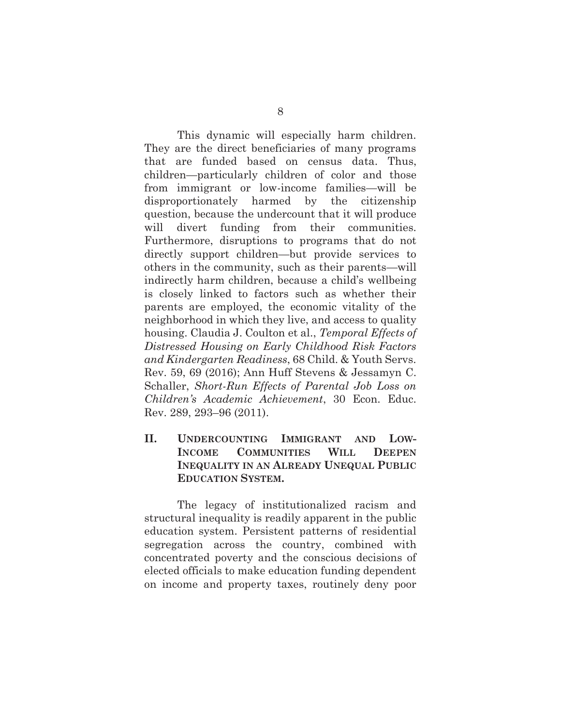This dynamic will especially harm children. They are the direct beneficiaries of many programs that are funded based on census data. Thus, children—particularly children of color and those from immigrant or low-income families—will be disproportionately harmed by the citizenship question, because the undercount that it will produce will divert funding from their communities. Furthermore, disruptions to programs that do not directly support children—but provide services to others in the community, such as their parents—will indirectly harm children, because a child's wellbeing is closely linked to factors such as whether their parents are employed, the economic vitality of the neighborhood in which they live, and access to quality housing. Claudia J. Coulton et al., *Temporal Effects of Distressed Housing on Early Childhood Risk Factors and Kindergarten Readiness*, 68 Child. & Youth Servs. Rev. 59, 69 (2016); Ann Huff Stevens & Jessamyn C. Schaller, *Short-Run Effects of Parental Job Loss on Children's Academic Achievement*, 30 Econ. Educ. Rev. 289, 293–96 (2011).

**II. UNDERCOUNTING IMMIGRANT AND LOW-INCOME COMMUNITIES WILL DEEPEN INEQUALITY IN AN ALREADY UNEQUAL PUBLIC EDUCATION SYSTEM.** 

The legacy of institutionalized racism and structural inequality is readily apparent in the public education system. Persistent patterns of residential segregation across the country, combined with concentrated poverty and the conscious decisions of elected officials to make education funding dependent on income and property taxes, routinely deny poor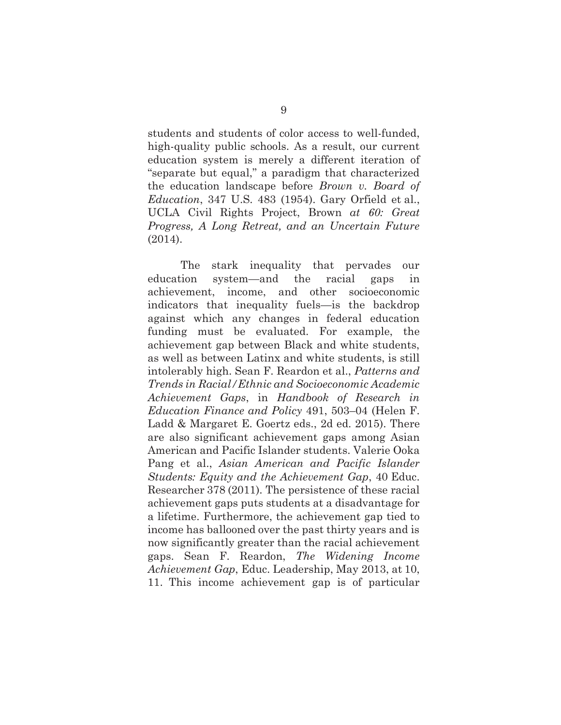students and students of color access to well-funded, high-quality public schools. As a result, our current education system is merely a different iteration of "separate but equal," a paradigm that characterized the education landscape before *Brown v. Board of Education*, 347 U.S. 483 (1954). Gary Orfield et al., UCLA Civil Rights Project, Brown *at 60: Great Progress, A Long Retreat, and an Uncertain Future*  (2014).

The stark inequality that pervades our education system—and the racial gaps in achievement, income, and other socioeconomic indicators that inequality fuels—is the backdrop against which any changes in federal education funding must be evaluated. For example, the achievement gap between Black and white students, as well as between Latinx and white students, is still intolerably high. Sean F. Reardon et al., *Patterns and Trends in Racial/Ethnic and Socioeconomic Academic Achievement Gaps*, in *Handbook of Research in Education Finance and Policy* 491, 503–04 (Helen F. Ladd & Margaret E. Goertz eds., 2d ed. 2015). There are also significant achievement gaps among Asian American and Pacific Islander students. Valerie Ooka Pang et al., *Asian American and Pacific Islander Students: Equity and the Achievement Gap*, 40 Educ. Researcher 378 (2011). The persistence of these racial achievement gaps puts students at a disadvantage for a lifetime. Furthermore, the achievement gap tied to income has ballooned over the past thirty years and is now significantly greater than the racial achievement gaps. Sean F. Reardon, *The Widening Income Achievement Gap*, Educ. Leadership, May 2013, at 10, 11. This income achievement gap is of particular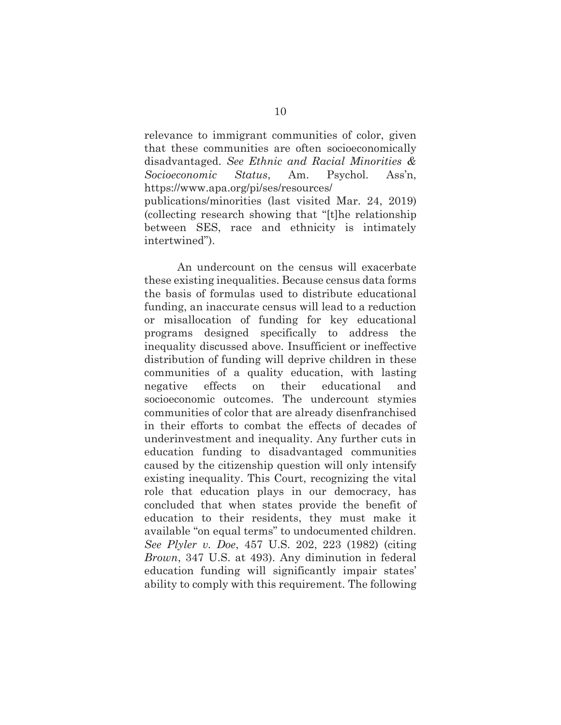relevance to immigrant communities of color, given that these communities are often socioeconomically disadvantaged. *See Ethnic and Racial Minorities & Socioeconomic Status*, Am. Psychol. Ass'n, https://www.apa.org/pi/ses/resources/ publications/minorities (last visited Mar. 24, 2019)

(collecting research showing that "[t]he relationship between SES, race and ethnicity is intimately intertwined").

An undercount on the census will exacerbate these existing inequalities. Because census data forms the basis of formulas used to distribute educational funding, an inaccurate census will lead to a reduction or misallocation of funding for key educational programs designed specifically to address the inequality discussed above. Insufficient or ineffective distribution of funding will deprive children in these communities of a quality education, with lasting negative effects on their educational and socioeconomic outcomes. The undercount stymies communities of color that are already disenfranchised in their efforts to combat the effects of decades of underinvestment and inequality. Any further cuts in education funding to disadvantaged communities caused by the citizenship question will only intensify existing inequality. This Court, recognizing the vital role that education plays in our democracy, has concluded that when states provide the benefit of education to their residents, they must make it available "on equal terms" to undocumented children. *See Plyler v. Doe*, 457 U.S. 202, 223 (1982) (citing *Brown*, 347 U.S. at 493). Any diminution in federal education funding will significantly impair states' ability to comply with this requirement. The following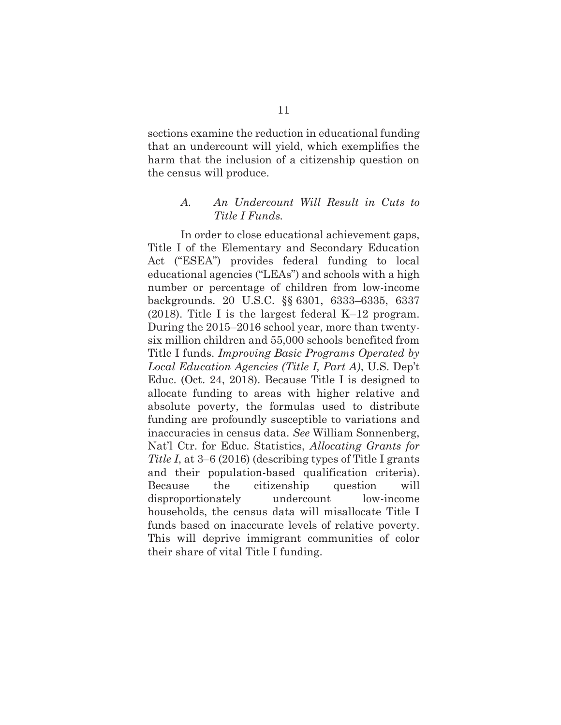sections examine the reduction in educational funding that an undercount will yield, which exemplifies the harm that the inclusion of a citizenship question on the census will produce.

#### *A. An Undercount Will Result in Cuts to Title I Funds.*

In order to close educational achievement gaps, Title I of the Elementary and Secondary Education Act ("ESEA") provides federal funding to local educational agencies ("LEAs") and schools with a high number or percentage of children from low-income backgrounds. 20 U.S.C. §§ 6301, 6333–6335, 6337 (2018). Title I is the largest federal K–12 program. During the 2015–2016 school year, more than twentysix million children and 55,000 schools benefited from Title I funds. *Improving Basic Programs Operated by Local Education Agencies (Title I, Part A)*, U.S. Dep't Educ. (Oct. 24, 2018). Because Title I is designed to allocate funding to areas with higher relative and absolute poverty, the formulas used to distribute funding are profoundly susceptible to variations and inaccuracies in census data. *See* William Sonnenberg, Nat'l Ctr. for Educ. Statistics, *Allocating Grants for Title I*, at 3–6 (2016) (describing types of Title I grants and their population-based qualification criteria). Because the citizenship question will disproportionately undercount low-income households, the census data will misallocate Title I funds based on inaccurate levels of relative poverty. This will deprive immigrant communities of color their share of vital Title I funding.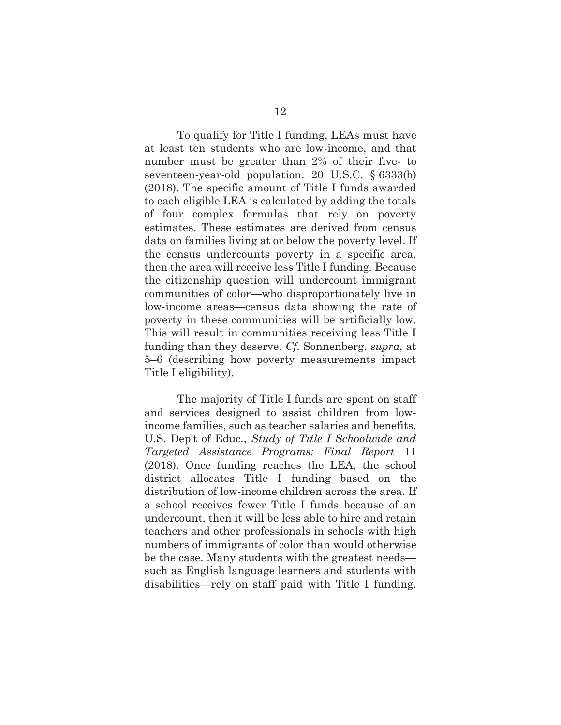To qualify for Title I funding, LEAs must have at least ten students who are low-income, and that number must be greater than 2% of their five- to seventeen-year-old population. 20 U.S.C. § 6333(b) (2018). The specific amount of Title I funds awarded to each eligible LEA is calculated by adding the totals of four complex formulas that rely on poverty estimates. These estimates are derived from census data on families living at or below the poverty level. If the census undercounts poverty in a specific area, then the area will receive less Title I funding. Because the citizenship question will undercount immigrant communities of color—who disproportionately live in low-income areas—census data showing the rate of poverty in these communities will be artificially low. This will result in communities receiving less Title I funding than they deserve. *Cf.* Sonnenberg, *supra*, at 5–6 (describing how poverty measurements impact Title I eligibility).

The majority of Title I funds are spent on staff and services designed to assist children from lowincome families, such as teacher salaries and benefits. U.S. Dep't of Educ., *Study of Title I Schoolwide and Targeted Assistance Programs: Final Report* 11 (2018). Once funding reaches the LEA, the school district allocates Title I funding based on the distribution of low-income children across the area. If a school receives fewer Title I funds because of an undercount, then it will be less able to hire and retain teachers and other professionals in schools with high numbers of immigrants of color than would otherwise be the case. Many students with the greatest needs such as English language learners and students with disabilities—rely on staff paid with Title I funding.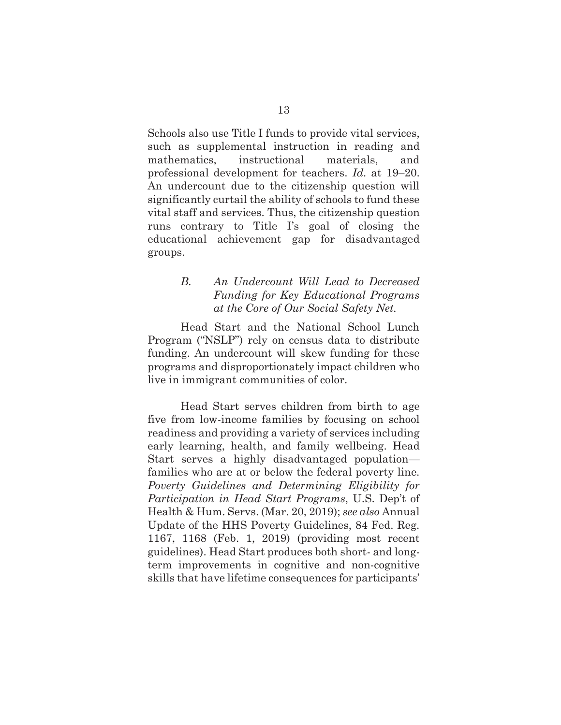Schools also use Title I funds to provide vital services, such as supplemental instruction in reading and mathematics, instructional materials, and professional development for teachers. *Id.* at 19–20. An undercount due to the citizenship question will significantly curtail the ability of schools to fund these vital staff and services. Thus, the citizenship question runs contrary to Title I's goal of closing the educational achievement gap for disadvantaged groups.

## *B. An Undercount Will Lead to Decreased Funding for Key Educational Programs at the Core of Our Social Safety Net.*

Head Start and the National School Lunch Program ("NSLP") rely on census data to distribute funding. An undercount will skew funding for these programs and disproportionately impact children who live in immigrant communities of color.

Head Start serves children from birth to age five from low-income families by focusing on school readiness and providing a variety of services including early learning, health, and family wellbeing. Head Start serves a highly disadvantaged population families who are at or below the federal poverty line. *Poverty Guidelines and Determining Eligibility for Participation in Head Start Programs*, U.S. Dep't of Health & Hum. Servs. (Mar. 20, 2019); *see also* Annual Update of the HHS Poverty Guidelines, 84 Fed. Reg. 1167, 1168 (Feb. 1, 2019) (providing most recent guidelines). Head Start produces both short- and longterm improvements in cognitive and non-cognitive skills that have lifetime consequences for participants'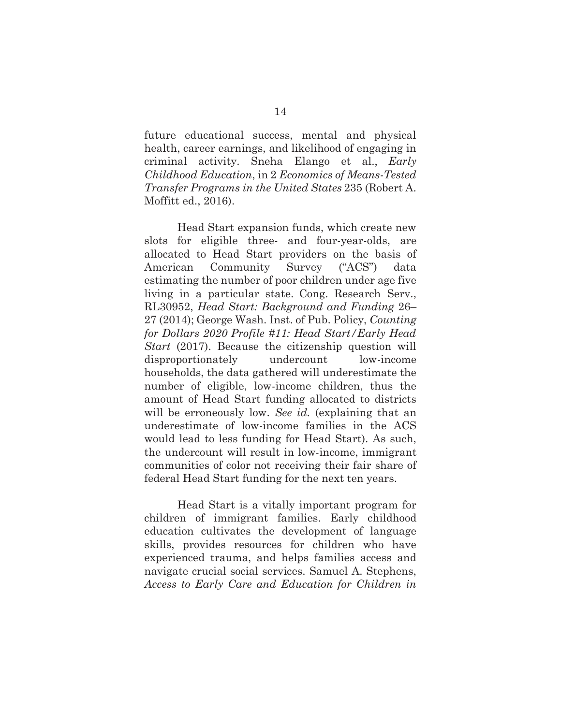future educational success, mental and physical health, career earnings, and likelihood of engaging in criminal activity. Sneha Elango et al., *Early Childhood Education*, in 2 *Economics of Means-Tested Transfer Programs in the United States* 235 (Robert A. Moffitt ed., 2016).

Head Start expansion funds, which create new slots for eligible three- and four-year-olds, are allocated to Head Start providers on the basis of American Community Survey ("ACS") data estimating the number of poor children under age five living in a particular state. Cong. Research Serv., RL30952, *Head Start: Background and Funding* 26– 27 (2014); George Wash. Inst. of Pub. Policy, *Counting for Dollars 2020 Profile #11: Head Start/Early Head Start* (2017). Because the citizenship question will disproportionately undercount low-income households, the data gathered will underestimate the number of eligible, low-income children, thus the amount of Head Start funding allocated to districts will be erroneously low. *See id.* (explaining that an underestimate of low-income families in the ACS would lead to less funding for Head Start). As such, the undercount will result in low-income, immigrant communities of color not receiving their fair share of federal Head Start funding for the next ten years.

Head Start is a vitally important program for children of immigrant families. Early childhood education cultivates the development of language skills, provides resources for children who have experienced trauma, and helps families access and navigate crucial social services. Samuel A. Stephens, *Access to Early Care and Education for Children in*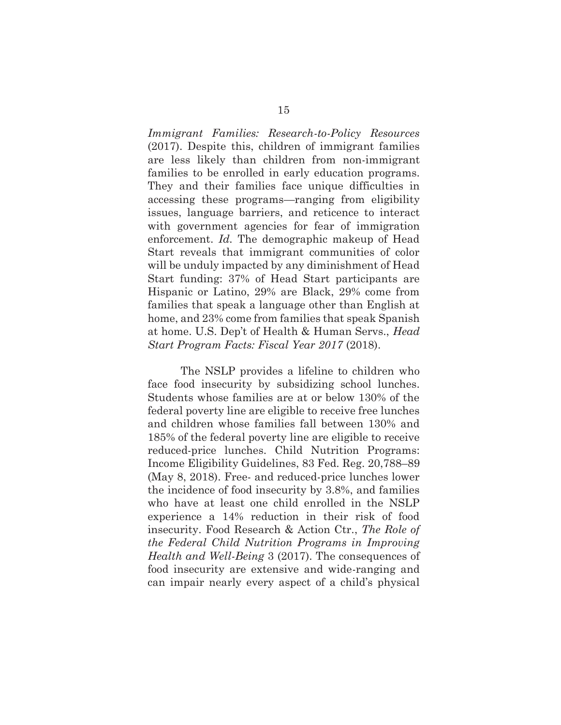*Immigrant Families: Research-to-Policy Resources* (2017). Despite this, children of immigrant families are less likely than children from non-immigrant families to be enrolled in early education programs. They and their families face unique difficulties in accessing these programs—ranging from eligibility issues, language barriers, and reticence to interact with government agencies for fear of immigration enforcement. *Id.* The demographic makeup of Head Start reveals that immigrant communities of color will be unduly impacted by any diminishment of Head Start funding: 37% of Head Start participants are Hispanic or Latino, 29% are Black, 29% come from families that speak a language other than English at home, and 23% come from families that speak Spanish at home. U.S. Dep't of Health & Human Servs., *Head Start Program Facts: Fiscal Year 2017* (2018).

The NSLP provides a lifeline to children who face food insecurity by subsidizing school lunches. Students whose families are at or below 130% of the federal poverty line are eligible to receive free lunches and children whose families fall between 130% and 185% of the federal poverty line are eligible to receive reduced-price lunches. Child Nutrition Programs: Income Eligibility Guidelines, 83 Fed. Reg. 20,788–89 (May 8, 2018). Free- and reduced-price lunches lower the incidence of food insecurity by 3.8%, and families who have at least one child enrolled in the NSLP experience a 14% reduction in their risk of food insecurity. Food Research & Action Ctr., *The Role of the Federal Child Nutrition Programs in Improving Health and Well-Being* 3 (2017). The consequences of food insecurity are extensive and wide-ranging and can impair nearly every aspect of a child's physical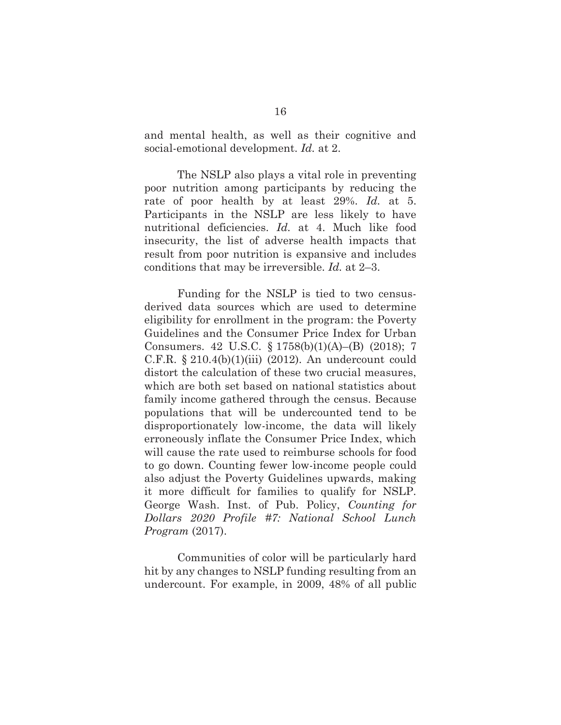and mental health, as well as their cognitive and social-emotional development. *Id.* at 2.

The NSLP also plays a vital role in preventing poor nutrition among participants by reducing the rate of poor health by at least 29%. *Id.* at 5. Participants in the NSLP are less likely to have nutritional deficiencies. *Id.* at 4. Much like food insecurity, the list of adverse health impacts that result from poor nutrition is expansive and includes conditions that may be irreversible. *Id.* at 2–3.

Funding for the NSLP is tied to two censusderived data sources which are used to determine eligibility for enrollment in the program: the Poverty Guidelines and the Consumer Price Index for Urban Consumers. 42 U.S.C. § 1758(b)(1)(A)–(B) (2018); 7 C.F.R.  $\S 210.4(b)(1)(iii)$  (2012). An undercount could distort the calculation of these two crucial measures, which are both set based on national statistics about family income gathered through the census. Because populations that will be undercounted tend to be disproportionately low-income, the data will likely erroneously inflate the Consumer Price Index, which will cause the rate used to reimburse schools for food to go down. Counting fewer low-income people could also adjust the Poverty Guidelines upwards, making it more difficult for families to qualify for NSLP. George Wash. Inst. of Pub. Policy, *Counting for Dollars 2020 Profile #7: National School Lunch Program* (2017).

Communities of color will be particularly hard hit by any changes to NSLP funding resulting from an undercount. For example, in 2009, 48% of all public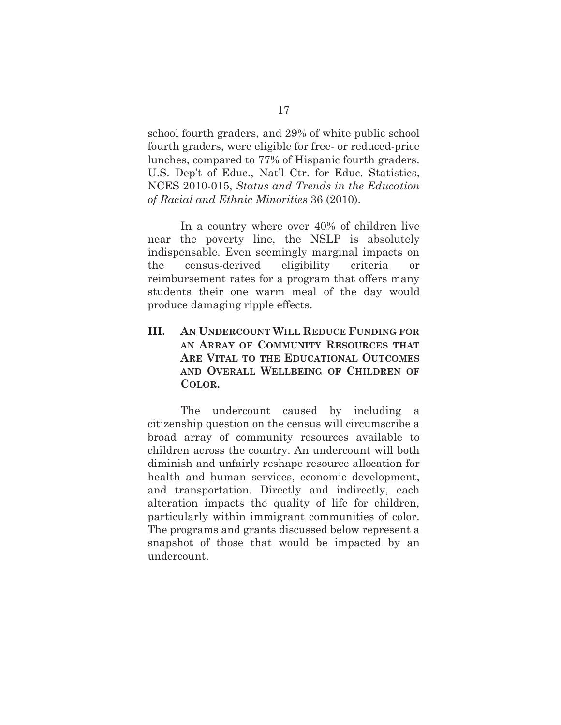school fourth graders, and 29% of white public school fourth graders, were eligible for free- or reduced-price lunches, compared to 77% of Hispanic fourth graders. U.S. Dep't of Educ., Nat'l Ctr. for Educ. Statistics, NCES 2010-015, *Status and Trends in the Education of Racial and Ethnic Minorities* 36 (2010).

In a country where over 40% of children live near the poverty line, the NSLP is absolutely indispensable. Even seemingly marginal impacts on the census-derived eligibility criteria or reimbursement rates for a program that offers many students their one warm meal of the day would produce damaging ripple effects.

# **III. AN UNDERCOUNT WILL REDUCE FUNDING FOR AN ARRAY OF COMMUNITY RESOURCES THAT ARE VITAL TO THE EDUCATIONAL OUTCOMES AND OVERALL WELLBEING OF CHILDREN OF COLOR.**

The undercount caused by including a citizenship question on the census will circumscribe a broad array of community resources available to children across the country. An undercount will both diminish and unfairly reshape resource allocation for health and human services, economic development, and transportation. Directly and indirectly, each alteration impacts the quality of life for children, particularly within immigrant communities of color. The programs and grants discussed below represent a snapshot of those that would be impacted by an undercount.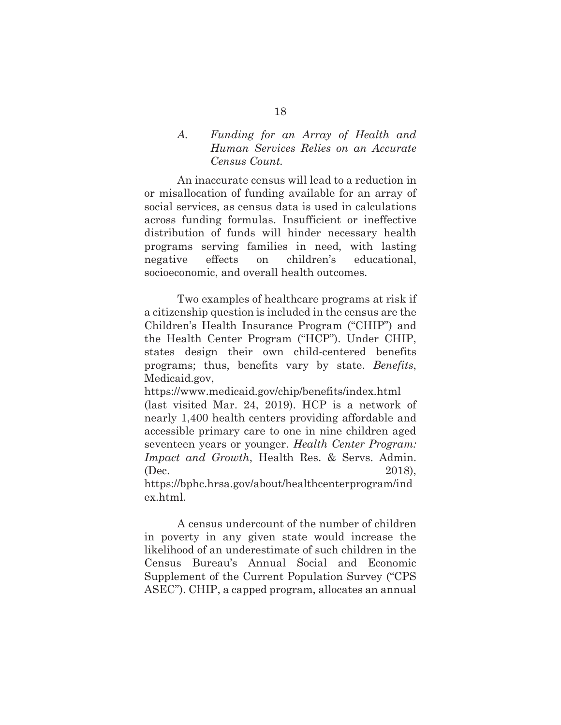### *A. Funding for an Array of Health and Human Services Relies on an Accurate Census Count.*

An inaccurate census will lead to a reduction in or misallocation of funding available for an array of social services, as census data is used in calculations across funding formulas. Insufficient or ineffective distribution of funds will hinder necessary health programs serving families in need, with lasting negative effects on children's educational, socioeconomic, and overall health outcomes.

Two examples of healthcare programs at risk if a citizenship question is included in the census are the Children's Health Insurance Program ("CHIP") and the Health Center Program ("HCP"). Under CHIP, states design their own child-centered benefits programs; thus, benefits vary by state. *Benefits*, Medicaid.gov,

https://www.medicaid.gov/chip/benefits/index.html (last visited Mar. 24, 2019). HCP is a network of nearly 1,400 health centers providing affordable and accessible primary care to one in nine children aged seventeen years or younger. *Health Center Program: Impact and Growth*, Health Res. & Servs. Admin. (Dec. 2018),

https://bphc.hrsa.gov/about/healthcenterprogram/ind ex.html.

A census undercount of the number of children in poverty in any given state would increase the likelihood of an underestimate of such children in the Census Bureau's Annual Social and Economic Supplement of the Current Population Survey ("CPS ASEC"). CHIP, a capped program, allocates an annual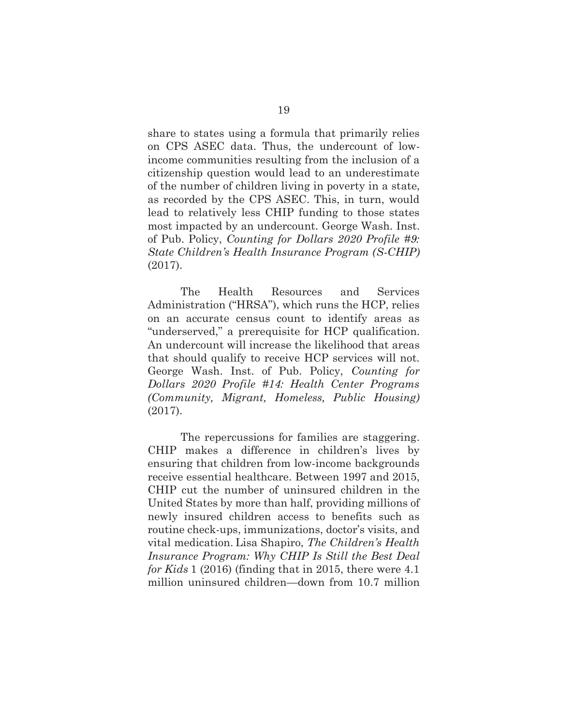share to states using a formula that primarily relies on CPS ASEC data. Thus, the undercount of lowincome communities resulting from the inclusion of a citizenship question would lead to an underestimate of the number of children living in poverty in a state, as recorded by the CPS ASEC. This, in turn, would lead to relatively less CHIP funding to those states most impacted by an undercount. George Wash. Inst. of Pub. Policy, *Counting for Dollars 2020 Profile #9: State Children's Health Insurance Program (S-CHIP)* (2017).

The Health Resources and Services Administration ("HRSA"), which runs the HCP, relies on an accurate census count to identify areas as "underserved," a prerequisite for HCP qualification. An undercount will increase the likelihood that areas that should qualify to receive HCP services will not. George Wash. Inst. of Pub. Policy, *Counting for Dollars 2020 Profile #14: Health Center Programs (Community, Migrant, Homeless, Public Housing)* (2017).

The repercussions for families are staggering. CHIP makes a difference in children's lives by ensuring that children from low-income backgrounds receive essential healthcare. Between 1997 and 2015, CHIP cut the number of uninsured children in the United States by more than half, providing millions of newly insured children access to benefits such as routine check-ups, immunizations, doctor's visits, and vital medication. Lisa Shapiro, *The Children's Health Insurance Program: Why CHIP Is Still the Best Deal for Kids* 1 (2016) (finding that in 2015, there were 4.1 million uninsured children—down from 10.7 million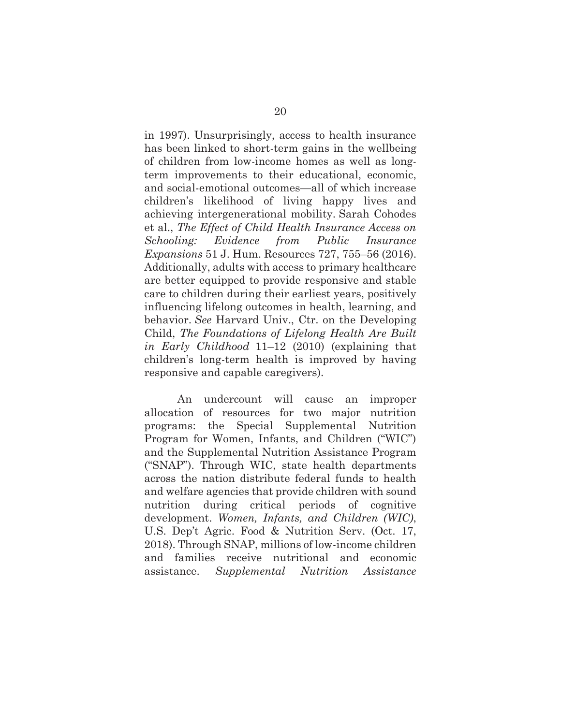in 1997). Unsurprisingly, access to health insurance has been linked to short-term gains in the wellbeing of children from low-income homes as well as longterm improvements to their educational, economic, and social-emotional outcomes—all of which increase children's likelihood of living happy lives and achieving intergenerational mobility. Sarah Cohodes et al., *The Effect of Child Health Insurance Access on Schooling: Evidence from Public Insurance Expansions* 51 J. Hum. Resources 727, 755–56 (2016). Additionally, adults with access to primary healthcare are better equipped to provide responsive and stable care to children during their earliest years, positively influencing lifelong outcomes in health, learning, and behavior. *See* Harvard Univ., Ctr. on the Developing Child, *The Foundations of Lifelong Health Are Built in Early Childhood* 11–12 (2010) (explaining that children's long-term health is improved by having responsive and capable caregivers).

An undercount will cause an improper allocation of resources for two major nutrition programs: the Special Supplemental Nutrition Program for Women, Infants, and Children ("WIC") and the Supplemental Nutrition Assistance Program ("SNAP"). Through WIC, state health departments across the nation distribute federal funds to health and welfare agencies that provide children with sound nutrition during critical periods of cognitive development. *Women, Infants, and Children (WIC)*, U.S. Dep't Agric. Food & Nutrition Serv. (Oct. 17, 2018). Through SNAP, millions of low-income children and families receive nutritional and economic assistance. *Supplemental Nutrition Assistance*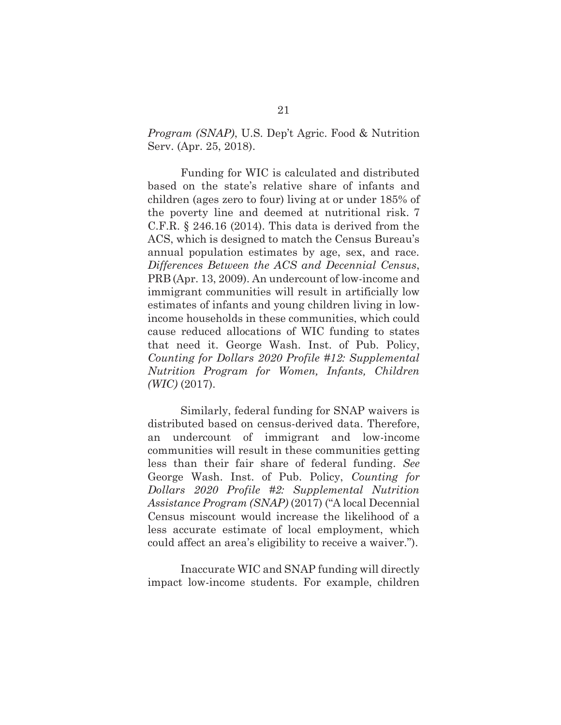*Program (SNAP)*, U.S. Dep't Agric. Food & Nutrition Serv. (Apr. 25, 2018).

Funding for WIC is calculated and distributed based on the state's relative share of infants and children (ages zero to four) living at or under 185% of the poverty line and deemed at nutritional risk. 7 C.F.R.  $\S$  246.16 (2014). This data is derived from the ACS, which is designed to match the Census Bureau's annual population estimates by age, sex, and race. *Differences Between the ACS and Decennial Census*, PRB (Apr. 13, 2009). An undercount of low-income and immigrant communities will result in artificially low estimates of infants and young children living in lowincome households in these communities, which could cause reduced allocations of WIC funding to states that need it. George Wash. Inst. of Pub. Policy, *Counting for Dollars 2020 Profile #12: Supplemental Nutrition Program for Women, Infants, Children (WIC)* (2017).

Similarly, federal funding for SNAP waivers is distributed based on census-derived data. Therefore, an undercount of immigrant and low-income communities will result in these communities getting less than their fair share of federal funding. *See*  George Wash. Inst. of Pub. Policy, *Counting for Dollars 2020 Profile #2: Supplemental Nutrition Assistance Program (SNAP)* (2017) ("A local Decennial Census miscount would increase the likelihood of a less accurate estimate of local employment, which could affect an area's eligibility to receive a waiver.").

Inaccurate WIC and SNAP funding will directly impact low-income students. For example, children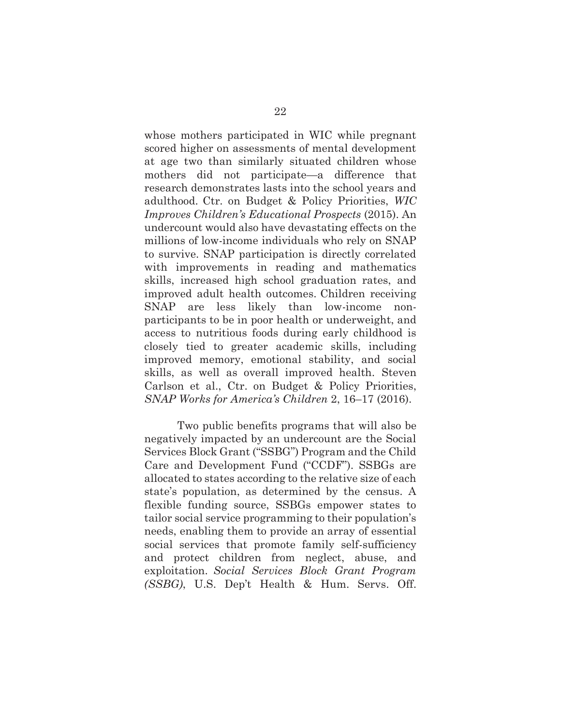whose mothers participated in WIC while pregnant scored higher on assessments of mental development at age two than similarly situated children whose mothers did not participate—a difference that research demonstrates lasts into the school years and adulthood. Ctr. on Budget & Policy Priorities, *WIC Improves Children's Educational Prospects* (2015). An undercount would also have devastating effects on the millions of low-income individuals who rely on SNAP to survive. SNAP participation is directly correlated with improvements in reading and mathematics skills, increased high school graduation rates, and improved adult health outcomes. Children receiving SNAP are less likely than low-income nonparticipants to be in poor health or underweight, and access to nutritious foods during early childhood is closely tied to greater academic skills, including improved memory, emotional stability, and social skills, as well as overall improved health. Steven Carlson et al., Ctr. on Budget & Policy Priorities, *SNAP Works for America's Children* 2, 16–17 (2016).

Two public benefits programs that will also be negatively impacted by an undercount are the Social Services Block Grant ("SSBG") Program and the Child Care and Development Fund ("CCDF"). SSBGs are allocated to states according to the relative size of each state's population, as determined by the census. A flexible funding source, SSBGs empower states to tailor social service programming to their population's needs, enabling them to provide an array of essential social services that promote family self-sufficiency and protect children from neglect, abuse, and exploitation. *Social Services Block Grant Program (SSBG)*, U.S. Dep't Health & Hum. Servs. Off.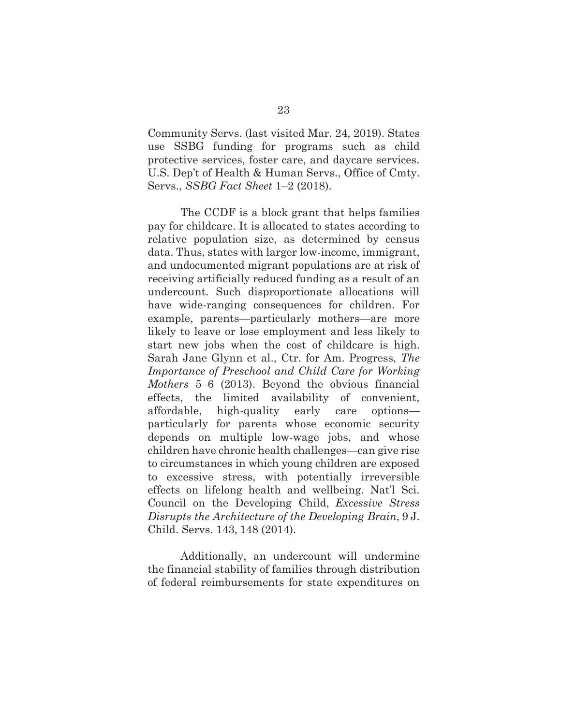Community Servs. (last visited Mar. 24, 2019). States use SSBG funding for programs such as child protective services, foster care, and daycare services. U.S. Dep't of Health & Human Servs., Office of Cmty. Servs., *SSBG Fact Sheet* 1–2 (2018).

The CCDF is a block grant that helps families pay for childcare. It is allocated to states according to relative population size, as determined by census data. Thus, states with larger low-income, immigrant, and undocumented migrant populations are at risk of receiving artificially reduced funding as a result of an undercount. Such disproportionate allocations will have wide-ranging consequences for children. For example, parents—particularly mothers—are more likely to leave or lose employment and less likely to start new jobs when the cost of childcare is high. Sarah Jane Glynn et al., Ctr. for Am. Progress, *The Importance of Preschool and Child Care for Working Mothers* 5–6 (2013). Beyond the obvious financial effects, the limited availability of convenient, affordable, high-quality early care options particularly for parents whose economic security depends on multiple low-wage jobs, and whose children have chronic health challenges—can give rise to circumstances in which young children are exposed to excessive stress, with potentially irreversible effects on lifelong health and wellbeing. Nat'l Sci. Council on the Developing Child, *Excessive Stress Disrupts the Architecture of the Developing Brain*, 9 J. Child. Servs. 143, 148 (2014).

Additionally, an undercount will undermine the financial stability of families through distribution of federal reimbursements for state expenditures on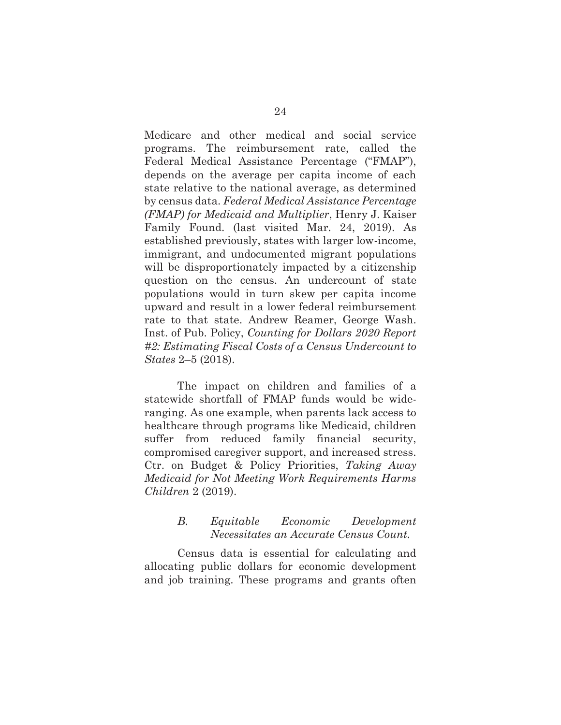Medicare and other medical and social service programs. The reimbursement rate, called the Federal Medical Assistance Percentage ("FMAP"), depends on the average per capita income of each state relative to the national average, as determined by census data. *Federal Medical Assistance Percentage (FMAP) for Medicaid and Multiplier*, Henry J. Kaiser Family Found. (last visited Mar. 24, 2019). As established previously, states with larger low-income, immigrant, and undocumented migrant populations will be disproportionately impacted by a citizenship question on the census. An undercount of state populations would in turn skew per capita income upward and result in a lower federal reimbursement rate to that state. Andrew Reamer, George Wash. Inst. of Pub. Policy, *Counting for Dollars 2020 Report #2: Estimating Fiscal Costs of a Census Undercount to States* 2–5 (2018).

The impact on children and families of a statewide shortfall of FMAP funds would be wideranging. As one example, when parents lack access to healthcare through programs like Medicaid, children suffer from reduced family financial security, compromised caregiver support, and increased stress. Ctr. on Budget & Policy Priorities, *Taking Away Medicaid for Not Meeting Work Requirements Harms Children* 2 (2019).

### *B. Equitable Economic Development Necessitates an Accurate Census Count.*

Census data is essential for calculating and allocating public dollars for economic development and job training. These programs and grants often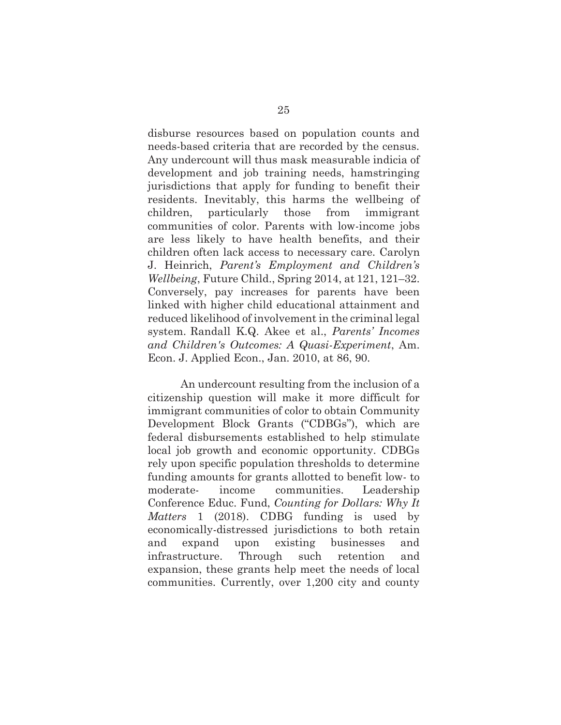disburse resources based on population counts and needs-based criteria that are recorded by the census. Any undercount will thus mask measurable indicia of development and job training needs, hamstringing jurisdictions that apply for funding to benefit their residents. Inevitably, this harms the wellbeing of children, particularly those from immigrant communities of color. Parents with low-income jobs are less likely to have health benefits, and their children often lack access to necessary care. Carolyn J. Heinrich, *Parent's Employment and Children's Wellbeing*, Future Child., Spring 2014, at 121, 121–32. Conversely, pay increases for parents have been linked with higher child educational attainment and reduced likelihood of involvement in the criminal legal system. Randall K.Q. Akee et al., *Parents' Incomes and Children's Outcomes: A Quasi-Experiment*, Am. Econ. J. Applied Econ., Jan. 2010, at 86, 90.

An undercount resulting from the inclusion of a citizenship question will make it more difficult for immigrant communities of color to obtain Community Development Block Grants ("CDBGs"), which are federal disbursements established to help stimulate local job growth and economic opportunity. CDBGs rely upon specific population thresholds to determine funding amounts for grants allotted to benefit low- to moderate- income communities. Leadership Conference Educ. Fund, *Counting for Dollars: Why It Matters* 1 (2018). CDBG funding is used by economically-distressed jurisdictions to both retain and expand upon existing businesses and infrastructure. Through such retention and expansion, these grants help meet the needs of local communities. Currently, over 1,200 city and county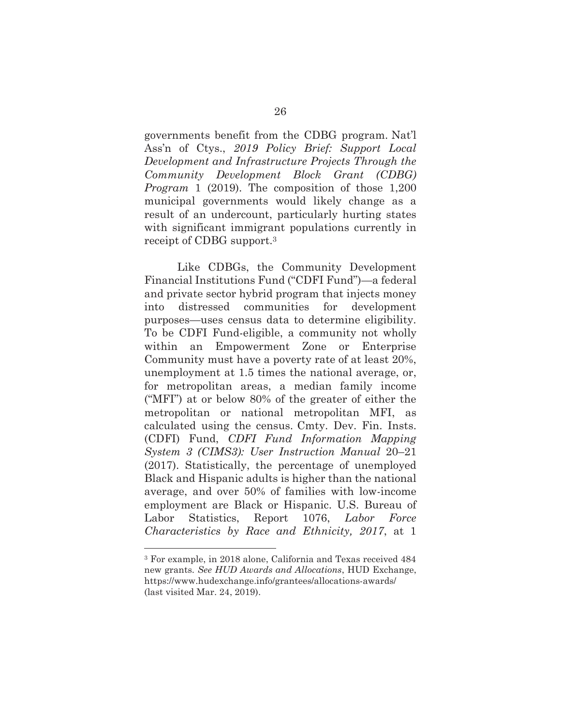governments benefit from the CDBG program. Nat'l Ass'n of Ctys., *2019 Policy Brief: Support Local Development and Infrastructure Projects Through the Community Development Block Grant (CDBG) Program* 1 (2019). The composition of those 1,200 municipal governments would likely change as a result of an undercount, particularly hurting states with significant immigrant populations currently in receipt of CDBG support.3

Like CDBGs, the Community Development Financial Institutions Fund ("CDFI Fund")—a federal and private sector hybrid program that injects money into distressed communities for development purposes—uses census data to determine eligibility. To be CDFI Fund-eligible, a community not wholly within an Empowerment Zone or Enterprise Community must have a poverty rate of at least 20%, unemployment at 1.5 times the national average, or, for metropolitan areas, a median family income ("MFI") at or below 80% of the greater of either the metropolitan or national metropolitan MFI, as calculated using the census. Cmty. Dev. Fin. Insts. (CDFI) Fund, *CDFI Fund Information Mapping System 3 (CIMS3): User Instruction Manual* 20–21 (2017). Statistically, the percentage of unemployed Black and Hispanic adults is higher than the national average, and over 50% of families with low-income employment are Black or Hispanic. U.S. Bureau of Labor Statistics, Report 1076, *Labor Force Characteristics by Race and Ethnicity, 2017*, at 1

 $\overline{a}$ 

<sup>3</sup> For example, in 2018 alone, California and Texas received 484 new grants. *See HUD Awards and Allocations*, HUD Exchange, https://www.hudexchange.info/grantees/allocations-awards/ (last visited Mar. 24, 2019).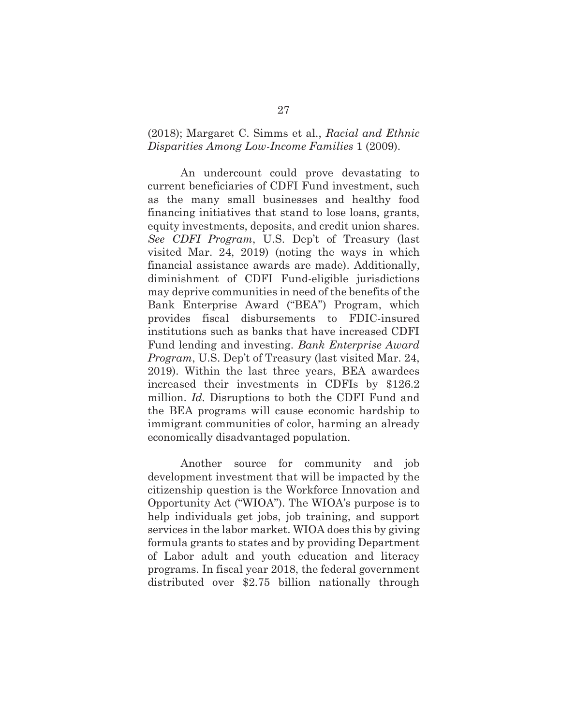#### (2018); Margaret C. Simms et al., *Racial and Ethnic Disparities Among Low-Income Families* 1 (2009).

An undercount could prove devastating to current beneficiaries of CDFI Fund investment, such as the many small businesses and healthy food financing initiatives that stand to lose loans, grants, equity investments, deposits, and credit union shares. *See CDFI Program*, U.S. Dep't of Treasury (last visited Mar. 24, 2019) (noting the ways in which financial assistance awards are made). Additionally, diminishment of CDFI Fund-eligible jurisdictions may deprive communities in need of the benefits of the Bank Enterprise Award ("BEA") Program, which provides fiscal disbursements to FDIC-insured institutions such as banks that have increased CDFI Fund lending and investing. *Bank Enterprise Award Program*, U.S. Dep't of Treasury (last visited Mar. 24, 2019). Within the last three years, BEA awardees increased their investments in CDFIs by \$126.2 million. *Id.* Disruptions to both the CDFI Fund and the BEA programs will cause economic hardship to immigrant communities of color, harming an already economically disadvantaged population.

Another source for community and job development investment that will be impacted by the citizenship question is the Workforce Innovation and Opportunity Act ("WIOA"). The WIOA's purpose is to help individuals get jobs, job training, and support services in the labor market. WIOA does this by giving formula grants to states and by providing Department of Labor adult and youth education and literacy programs. In fiscal year 2018, the federal government distributed over \$2.75 billion nationally through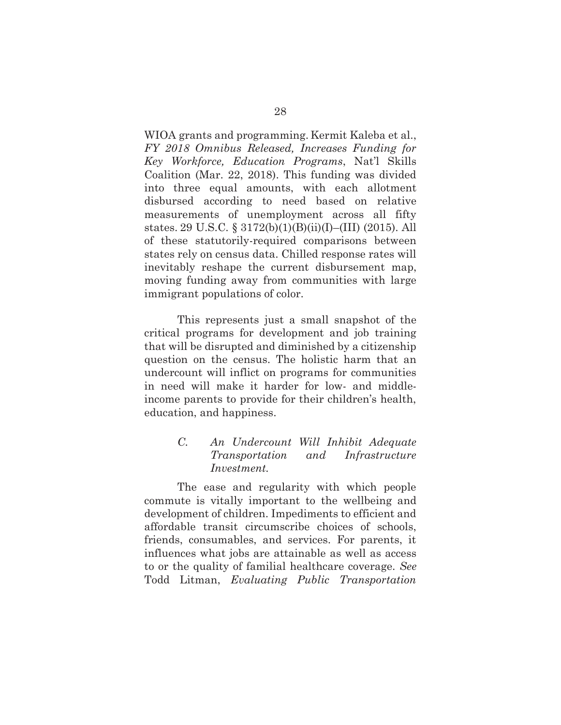WIOA grants and programming. Kermit Kaleba et al., *FY 2018 Omnibus Released, Increases Funding for Key Workforce, Education Programs*, Nat'l Skills Coalition (Mar. 22, 2018). This funding was divided into three equal amounts, with each allotment disbursed according to need based on relative measurements of unemployment across all fifty states. 29 U.S.C. § 3172(b)(1)(B)(ii)(I)–(III) (2015). All of these statutorily-required comparisons between states rely on census data. Chilled response rates will inevitably reshape the current disbursement map, moving funding away from communities with large immigrant populations of color.

This represents just a small snapshot of the critical programs for development and job training that will be disrupted and diminished by a citizenship question on the census. The holistic harm that an undercount will inflict on programs for communities in need will make it harder for low- and middleincome parents to provide for their children's health, education, and happiness.

# *C. An Undercount Will Inhibit Adequate Transportation and Infrastructure Investment.*

The ease and regularity with which people commute is vitally important to the wellbeing and development of children. Impediments to efficient and affordable transit circumscribe choices of schools, friends, consumables, and services. For parents, it influences what jobs are attainable as well as access to or the quality of familial healthcare coverage. *See* Todd Litman, *Evaluating Public Transportation*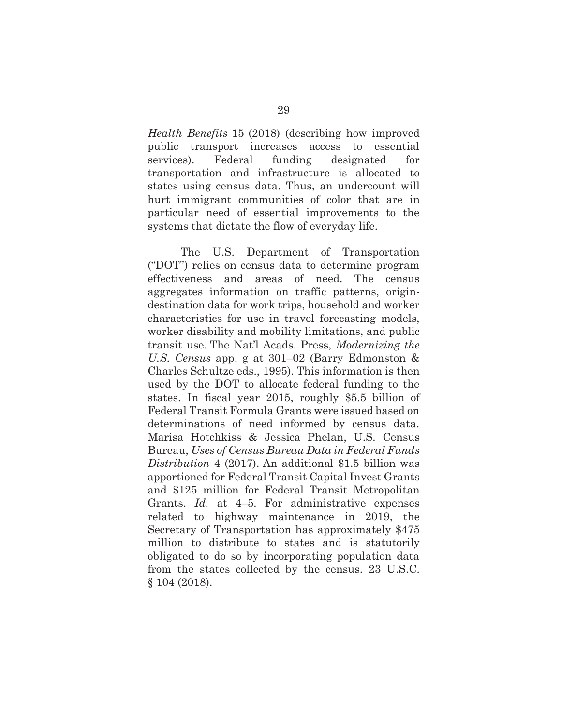*Health Benefits* 15 (2018) (describing how improved public transport increases access to essential services). Federal funding designated for transportation and infrastructure is allocated to states using census data. Thus, an undercount will hurt immigrant communities of color that are in particular need of essential improvements to the systems that dictate the flow of everyday life.

The U.S. Department of Transportation ("DOT") relies on census data to determine program effectiveness and areas of need. The census aggregates information on traffic patterns, origindestination data for work trips, household and worker characteristics for use in travel forecasting models, worker disability and mobility limitations, and public transit use. The Nat'l Acads. Press, *Modernizing the U.S. Census* app. g at 301–02 (Barry Edmonston & Charles Schultze eds., 1995). This information is then used by the DOT to allocate federal funding to the states. In fiscal year 2015, roughly \$5.5 billion of Federal Transit Formula Grants were issued based on determinations of need informed by census data. Marisa Hotchkiss & Jessica Phelan, U.S. Census Bureau, *Uses of Census Bureau Data in Federal Funds Distribution* 4 (2017). An additional \$1.5 billion was apportioned for Federal Transit Capital Invest Grants and \$125 million for Federal Transit Metropolitan Grants. *Id.* at 4–5. For administrative expenses related to highway maintenance in 2019, the Secretary of Transportation has approximately \$475 million to distribute to states and is statutorily obligated to do so by incorporating population data from the states collected by the census. 23 U.S.C. § 104 (2018).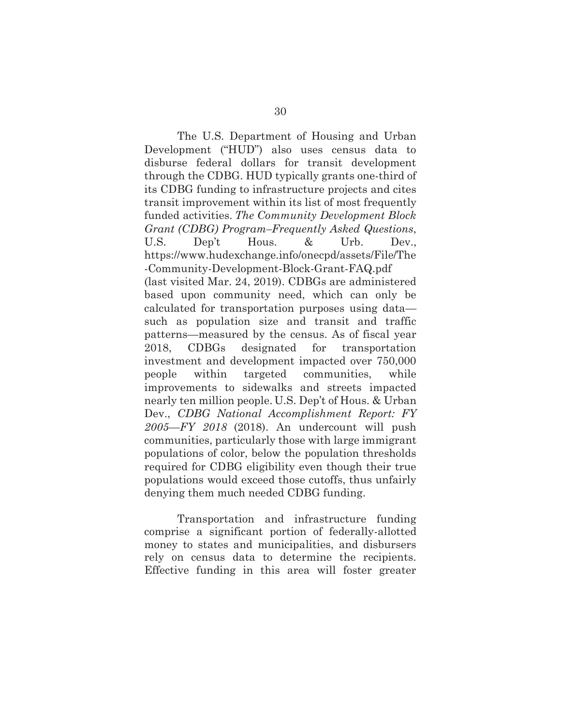The U.S. Department of Housing and Urban Development ("HUD") also uses census data to disburse federal dollars for transit development through the CDBG. HUD typically grants one-third of its CDBG funding to infrastructure projects and cites transit improvement within its list of most frequently funded activities. *The Community Development Block Grant (CDBG) Program–Frequently Asked Questions*, U.S. Dep't Hous. & Urb. Dev., https://www.hudexchange.info/onecpd/assets/File/The -Community-Development-Block-Grant-FAQ.pdf (last visited Mar. 24, 2019). CDBGs are administered based upon community need, which can only be calculated for transportation purposes using data such as population size and transit and traffic patterns—measured by the census. As of fiscal year 2018, CDBGs designated for transportation investment and development impacted over 750,000 people within targeted communities, while improvements to sidewalks and streets impacted nearly ten million people. U.S. Dep't of Hous. & Urban Dev., *CDBG National Accomplishment Report: FY 2005—FY 2018* (2018). An undercount will push communities, particularly those with large immigrant populations of color, below the population thresholds required for CDBG eligibility even though their true populations would exceed those cutoffs, thus unfairly denying them much needed CDBG funding.

Transportation and infrastructure funding comprise a significant portion of federally-allotted money to states and municipalities, and disbursers rely on census data to determine the recipients. Effective funding in this area will foster greater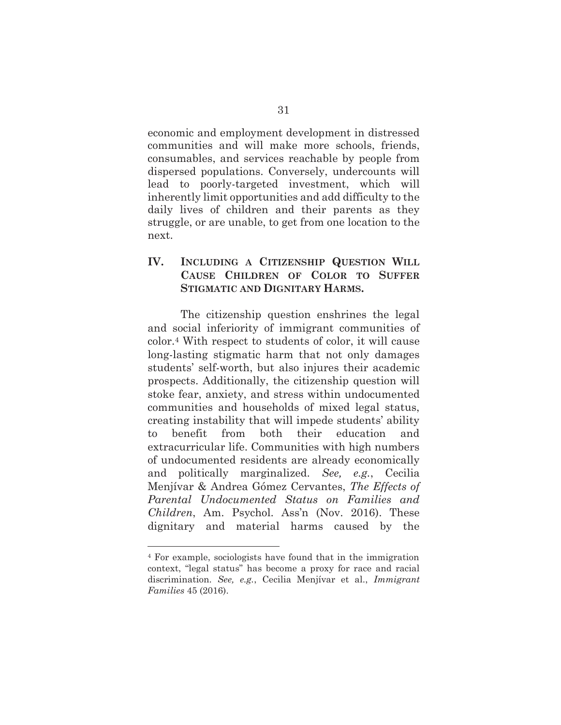economic and employment development in distressed communities and will make more schools, friends, consumables, and services reachable by people from dispersed populations. Conversely, undercounts will lead to poorly-targeted investment, which will inherently limit opportunities and add difficulty to the daily lives of children and their parents as they struggle, or are unable, to get from one location to the next.

## **IV. INCLUDING A CITIZENSHIP QUESTION WILL CAUSE CHILDREN OF COLOR TO SUFFER STIGMATIC AND DIGNITARY HARMS.**

The citizenship question enshrines the legal and social inferiority of immigrant communities of color.4 With respect to students of color, it will cause long-lasting stigmatic harm that not only damages students' self-worth, but also injures their academic prospects. Additionally, the citizenship question will stoke fear, anxiety, and stress within undocumented communities and households of mixed legal status, creating instability that will impede students' ability to benefit from both their education and extracurricular life. Communities with high numbers of undocumented residents are already economically and politically marginalized. *See, e.g.*, Cecilia Menjívar & Andrea Gómez Cervantes, *The Effects of Parental Undocumented Status on Families and Children*, Am. Psychol. Ass'n (Nov. 2016). These dignitary and material harms caused by the

 $\overline{a}$ 

<sup>4</sup> For example, sociologists have found that in the immigration context, "legal status" has become a proxy for race and racial discrimination. *See, e.g.*, Cecilia Menjívar et al., *Immigrant Families* 45 (2016).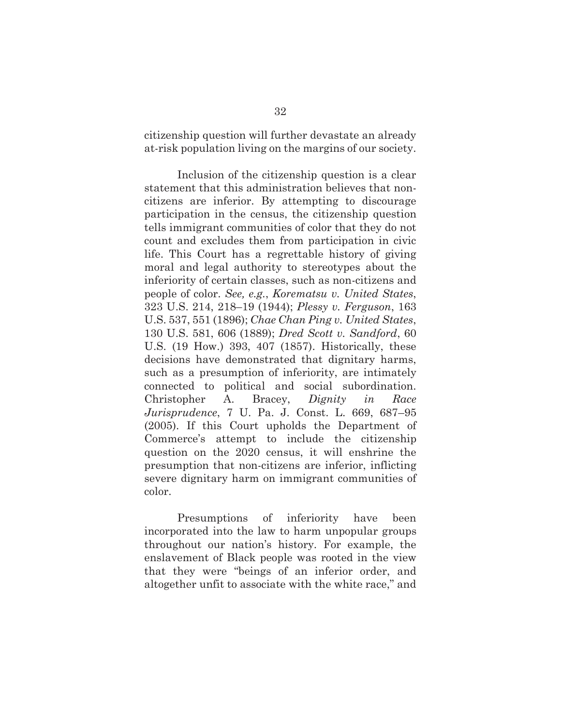citizenship question will further devastate an already at-risk population living on the margins of our society.

Inclusion of the citizenship question is a clear statement that this administration believes that noncitizens are inferior. By attempting to discourage participation in the census, the citizenship question tells immigrant communities of color that they do not count and excludes them from participation in civic life. This Court has a regrettable history of giving moral and legal authority to stereotypes about the inferiority of certain classes, such as non-citizens and people of color. *See, e.g.*, *Korematsu v. United States*, 323 U.S. 214, 218–19 (1944); *Plessy v. Ferguson*, 163 U.S. 537, 551 (1896); *Chae Chan Ping v. United States*, 130 U.S. 581, 606 (1889); *Dred Scott v. Sandford*, 60 U.S. (19 How.) 393, 407 (1857). Historically, these decisions have demonstrated that dignitary harms, such as a presumption of inferiority, are intimately connected to political and social subordination. Christopher A. Bracey, *Dignity in Race Jurisprudence*, 7 U. Pa. J. Const. L. 669, 687–95 (2005). If this Court upholds the Department of Commerce's attempt to include the citizenship question on the 2020 census, it will enshrine the presumption that non-citizens are inferior, inflicting severe dignitary harm on immigrant communities of color.

Presumptions of inferiority have been incorporated into the law to harm unpopular groups throughout our nation's history. For example, the enslavement of Black people was rooted in the view that they were "beings of an inferior order, and altogether unfit to associate with the white race," and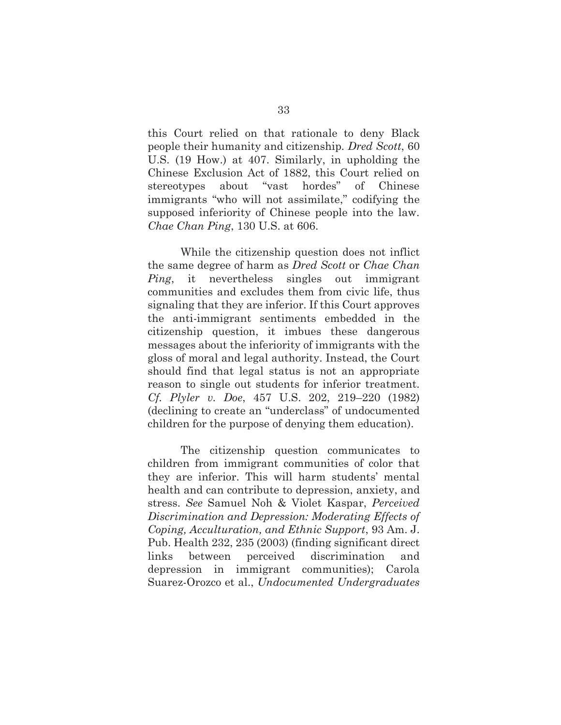this Court relied on that rationale to deny Black people their humanity and citizenship*. Dred Scott*, 60 U.S. (19 How.) at 407. Similarly, in upholding the Chinese Exclusion Act of 1882, this Court relied on stereotypes about "vast hordes" of Chinese immigrants "who will not assimilate," codifying the supposed inferiority of Chinese people into the law. *Chae Chan Ping*, 130 U.S. at 606.

While the citizenship question does not inflict the same degree of harm as *Dred Scott* or *Chae Chan Ping*, it nevertheless singles out immigrant communities and excludes them from civic life, thus signaling that they are inferior. If this Court approves the anti-immigrant sentiments embedded in the citizenship question, it imbues these dangerous messages about the inferiority of immigrants with the gloss of moral and legal authority. Instead, the Court should find that legal status is not an appropriate reason to single out students for inferior treatment. *Cf. Plyler v. Doe*, 457 U.S. 202, 219–220 (1982) (declining to create an "underclass" of undocumented children for the purpose of denying them education).

The citizenship question communicates to children from immigrant communities of color that they are inferior. This will harm students' mental health and can contribute to depression, anxiety, and stress. *See* Samuel Noh & Violet Kaspar, *Perceived Discrimination and Depression: Moderating Effects of Coping, Acculturation, and Ethnic Support*, 93 Am. J. Pub. Health 232, 235 (2003) (finding significant direct links between perceived discrimination and depression in immigrant communities); Carola Suarez-Orozco et al., *Undocumented Undergraduates*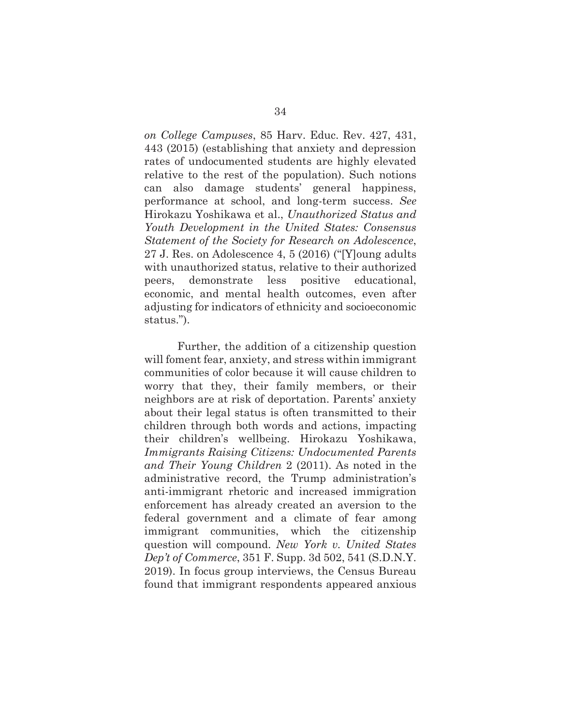*on College Campuses*, 85 Harv. Educ. Rev. 427, 431, 443 (2015) (establishing that anxiety and depression rates of undocumented students are highly elevated relative to the rest of the population). Such notions can also damage students' general happiness, performance at school, and long-term success. *See*  Hirokazu Yoshikawa et al., *Unauthorized Status and Youth Development in the United States: Consensus Statement of the Society for Research on Adolescence*, 27 J. Res. on Adolescence 4, 5 (2016) ("[Y]oung adults with unauthorized status, relative to their authorized peers, demonstrate less positive educational, economic, and mental health outcomes, even after adjusting for indicators of ethnicity and socioeconomic status.").

Further, the addition of a citizenship question will foment fear, anxiety, and stress within immigrant communities of color because it will cause children to worry that they, their family members, or their neighbors are at risk of deportation. Parents' anxiety about their legal status is often transmitted to their children through both words and actions, impacting their children's wellbeing. Hirokazu Yoshikawa, *Immigrants Raising Citizens: Undocumented Parents and Their Young Children* 2 (2011). As noted in the administrative record, the Trump administration's anti-immigrant rhetoric and increased immigration enforcement has already created an aversion to the federal government and a climate of fear among immigrant communities, which the citizenship question will compound. *New York v. United States Dep't of Commerce*, 351 F. Supp. 3d 502, 541 (S.D.N.Y. 2019). In focus group interviews, the Census Bureau found that immigrant respondents appeared anxious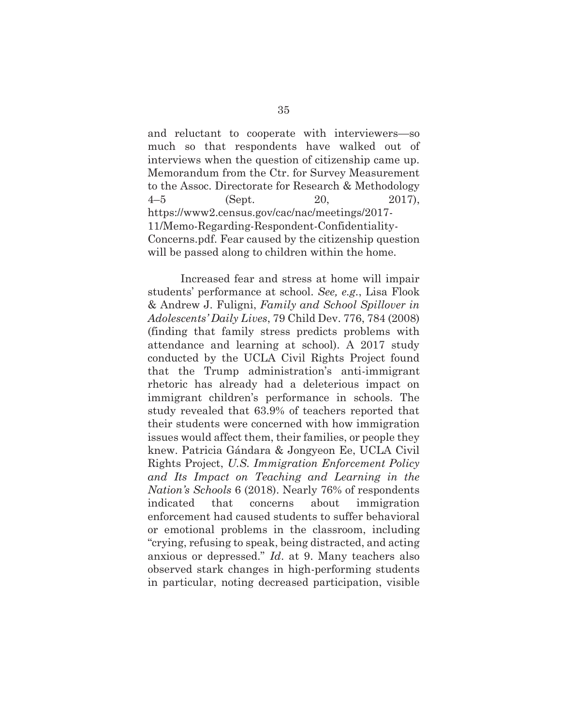and reluctant to cooperate with interviewers—so much so that respondents have walked out of interviews when the question of citizenship came up. Memorandum from the Ctr. for Survey Measurement to the Assoc. Directorate for Research & Methodology 4–5 (Sept. 20, 2017), https://www2.census.gov/cac/nac/meetings/2017- 11/Memo-Regarding-Respondent-Confidentiality-Concerns.pdf. Fear caused by the citizenship question will be passed along to children within the home.

Increased fear and stress at home will impair students' performance at school. *See, e.g.*, Lisa Flook & Andrew J. Fuligni, *Family and School Spillover in Adolescents' Daily Lives*, 79 Child Dev. 776, 784 (2008) (finding that family stress predicts problems with attendance and learning at school). A 2017 study conducted by the UCLA Civil Rights Project found that the Trump administration's anti-immigrant rhetoric has already had a deleterious impact on immigrant children's performance in schools. The study revealed that 63.9% of teachers reported that their students were concerned with how immigration issues would affect them, their families, or people they knew. Patricia Gándara & Jongyeon Ee, UCLA Civil Rights Project, *U.S. Immigration Enforcement Policy and Its Impact on Teaching and Learning in the Nation's Schools* 6 (2018). Nearly 76% of respondents indicated that concerns about immigration enforcement had caused students to suffer behavioral or emotional problems in the classroom, including "crying, refusing to speak, being distracted, and acting anxious or depressed." *Id*. at 9. Many teachers also observed stark changes in high-performing students in particular, noting decreased participation, visible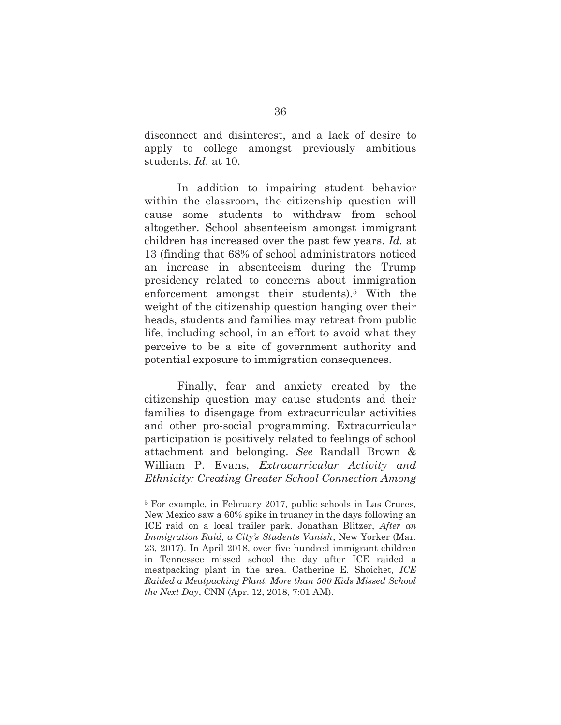disconnect and disinterest, and a lack of desire to apply to college amongst previously ambitious students. *Id.* at 10.

In addition to impairing student behavior within the classroom, the citizenship question will cause some students to withdraw from school altogether. School absenteeism amongst immigrant children has increased over the past few years. *Id.* at 13 (finding that 68% of school administrators noticed an increase in absenteeism during the Trump presidency related to concerns about immigration enforcement amongst their students).5 With the weight of the citizenship question hanging over their heads, students and families may retreat from public life, including school, in an effort to avoid what they perceive to be a site of government authority and potential exposure to immigration consequences.

Finally, fear and anxiety created by the citizenship question may cause students and their families to disengage from extracurricular activities and other pro-social programming. Extracurricular participation is positively related to feelings of school attachment and belonging. *See* Randall Brown & William P. Evans, *Extracurricular Activity and Ethnicity: Creating Greater School Connection Among* 

 $\overline{a}$ 

<sup>5</sup> For example, in February 2017, public schools in Las Cruces, New Mexico saw a 60% spike in truancy in the days following an ICE raid on a local trailer park. Jonathan Blitzer, *After an Immigration Raid, a City's Students Vanish*, New Yorker (Mar. 23, 2017). In April 2018, over five hundred immigrant children in Tennessee missed school the day after ICE raided a meatpacking plant in the area. Catherine E. Shoichet, *ICE Raided a Meatpacking Plant. More than 500 Kids Missed School the Next Day*, CNN (Apr. 12, 2018, 7:01 AM).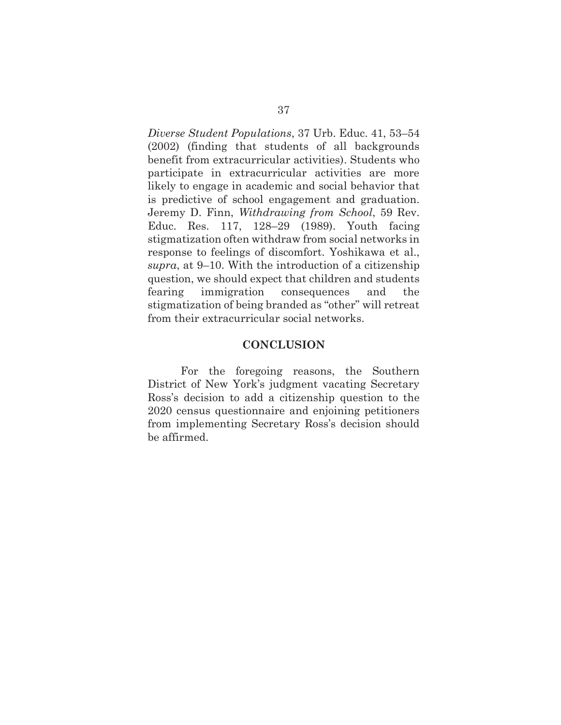*Diverse Student Populations*, 37 Urb. Educ. 41, 53–54 (2002) (finding that students of all backgrounds benefit from extracurricular activities). Students who participate in extracurricular activities are more likely to engage in academic and social behavior that is predictive of school engagement and graduation. Jeremy D. Finn, *Withdrawing from School*, 59 Rev. Educ. Res. 117, 128–29 (1989). Youth facing stigmatization often withdraw from social networks in response to feelings of discomfort. Yoshikawa et al., *supra*, at 9–10. With the introduction of a citizenship question, we should expect that children and students fearing immigration consequences and the stigmatization of being branded as "other" will retreat from their extracurricular social networks.

#### **CONCLUSION**

For the foregoing reasons, the Southern District of New York's judgment vacating Secretary Ross's decision to add a citizenship question to the 2020 census questionnaire and enjoining petitioners from implementing Secretary Ross's decision should be affirmed.